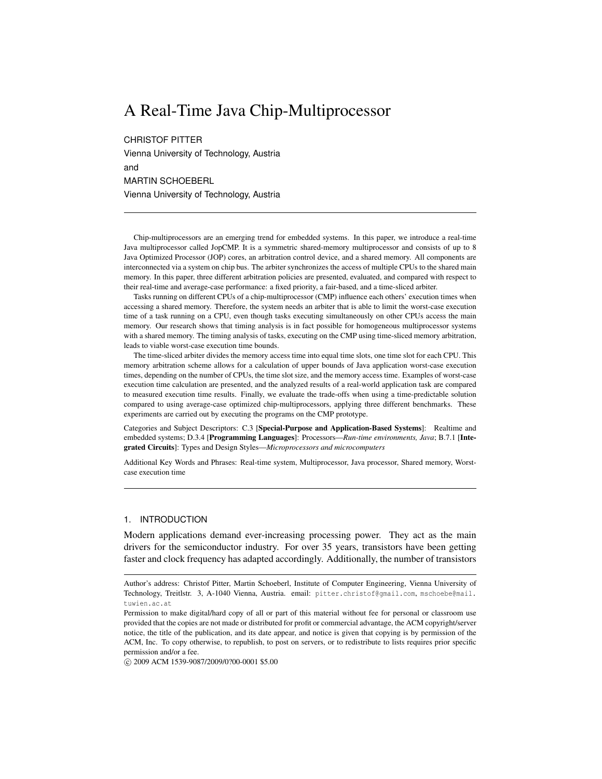# A Real-Time Java Chip-Multiprocessor

CHRISTOF PITTER

Vienna University of Technology, Austria and MARTIN SCHOEBERL

Vienna University of Technology, Austria

Chip-multiprocessors are an emerging trend for embedded systems. In this paper, we introduce a real-time Java multiprocessor called JopCMP. It is a symmetric shared-memory multiprocessor and consists of up to 8 Java Optimized Processor (JOP) cores, an arbitration control device, and a shared memory. All components are interconnected via a system on chip bus. The arbiter synchronizes the access of multiple CPUs to the shared main memory. In this paper, three different arbitration policies are presented, evaluated, and compared with respect to their real-time and average-case performance: a fixed priority, a fair-based, and a time-sliced arbiter.

Tasks running on different CPUs of a chip-multiprocessor (CMP) influence each others' execution times when accessing a shared memory. Therefore, the system needs an arbiter that is able to limit the worst-case execution time of a task running on a CPU, even though tasks executing simultaneously on other CPUs access the main memory. Our research shows that timing analysis is in fact possible for homogeneous multiprocessor systems with a shared memory. The timing analysis of tasks, executing on the CMP using time-sliced memory arbitration, leads to viable worst-case execution time bounds.

The time-sliced arbiter divides the memory access time into equal time slots, one time slot for each CPU. This memory arbitration scheme allows for a calculation of upper bounds of Java application worst-case execution times, depending on the number of CPUs, the time slot size, and the memory access time. Examples of worst-case execution time calculation are presented, and the analyzed results of a real-world application task are compared to measured execution time results. Finally, we evaluate the trade-offs when using a time-predictable solution compared to using average-case optimized chip-multiprocessors, applying three different benchmarks. These experiments are carried out by executing the programs on the CMP prototype.

Categories and Subject Descriptors: C.3 [Special-Purpose and Application-Based Systems]: Realtime and embedded systems; D.3.4 [Programming Languages]: Processors—*Run-time environments, Java*; B.7.1 [Integrated Circuits]: Types and Design Styles—*Microprocessors and microcomputers*

Additional Key Words and Phrases: Real-time system, Multiprocessor, Java processor, Shared memory, Worstcase execution time

# 1. INTRODUCTION

Modern applications demand ever-increasing processing power. They act as the main drivers for the semiconductor industry. For over 35 years, transistors have been getting faster and clock frequency has adapted accordingly. Additionally, the number of transistors

Author's address: Christof Pitter, Martin Schoeberl, Institute of Computer Engineering, Vienna University of Technology, Treitlstr. 3, A-1040 Vienna, Austria. email: pitter.christof@gmail.com, mschoebe@mail. tuwien.ac.at

Permission to make digital/hard copy of all or part of this material without fee for personal or classroom use provided that the copies are not made or distributed for profit or commercial advantage, the ACM copyright/server notice, the title of the publication, and its date appear, and notice is given that copying is by permission of the ACM, Inc. To copy otherwise, to republish, to post on servers, or to redistribute to lists requires prior specific permission and/or a fee.

c 2009 ACM 1539-9087/2009/0?00-0001 \$5.00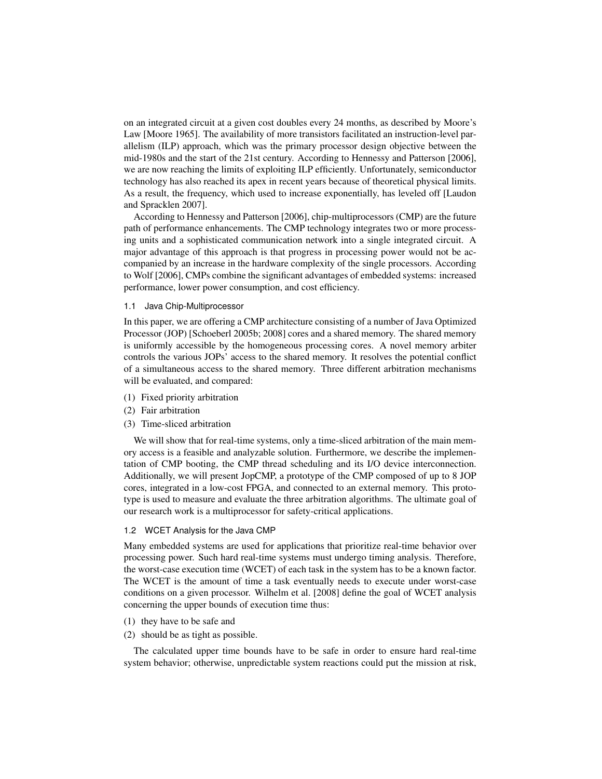on an integrated circuit at a given cost doubles every 24 months, as described by Moore's Law [Moore 1965]. The availability of more transistors facilitated an instruction-level parallelism (ILP) approach, which was the primary processor design objective between the mid-1980s and the start of the 21st century. According to Hennessy and Patterson [2006], we are now reaching the limits of exploiting ILP efficiently. Unfortunately, semiconductor technology has also reached its apex in recent years because of theoretical physical limits. As a result, the frequency, which used to increase exponentially, has leveled off [Laudon and Spracklen 2007].

According to Hennessy and Patterson [2006], chip-multiprocessors (CMP) are the future path of performance enhancements. The CMP technology integrates two or more processing units and a sophisticated communication network into a single integrated circuit. A major advantage of this approach is that progress in processing power would not be accompanied by an increase in the hardware complexity of the single processors. According to Wolf [2006], CMPs combine the significant advantages of embedded systems: increased performance, lower power consumption, and cost efficiency.

#### 1.1 Java Chip-Multiprocessor

In this paper, we are offering a CMP architecture consisting of a number of Java Optimized Processor (JOP) [Schoeberl 2005b; 2008] cores and a shared memory. The shared memory is uniformly accessible by the homogeneous processing cores. A novel memory arbiter controls the various JOPs' access to the shared memory. It resolves the potential conflict of a simultaneous access to the shared memory. Three different arbitration mechanisms will be evaluated, and compared:

- (1) Fixed priority arbitration
- (2) Fair arbitration
- (3) Time-sliced arbitration

We will show that for real-time systems, only a time-sliced arbitration of the main memory access is a feasible and analyzable solution. Furthermore, we describe the implementation of CMP booting, the CMP thread scheduling and its I/O device interconnection. Additionally, we will present JopCMP, a prototype of the CMP composed of up to 8 JOP cores, integrated in a low-cost FPGA, and connected to an external memory. This prototype is used to measure and evaluate the three arbitration algorithms. The ultimate goal of our research work is a multiprocessor for safety-critical applications.

# 1.2 WCET Analysis for the Java CMP

Many embedded systems are used for applications that prioritize real-time behavior over processing power. Such hard real-time systems must undergo timing analysis. Therefore, the worst-case execution time (WCET) of each task in the system has to be a known factor. The WCET is the amount of time a task eventually needs to execute under worst-case conditions on a given processor. Wilhelm et al. [2008] define the goal of WCET analysis concerning the upper bounds of execution time thus:

- (1) they have to be safe and
- (2) should be as tight as possible.

The calculated upper time bounds have to be safe in order to ensure hard real-time system behavior; otherwise, unpredictable system reactions could put the mission at risk,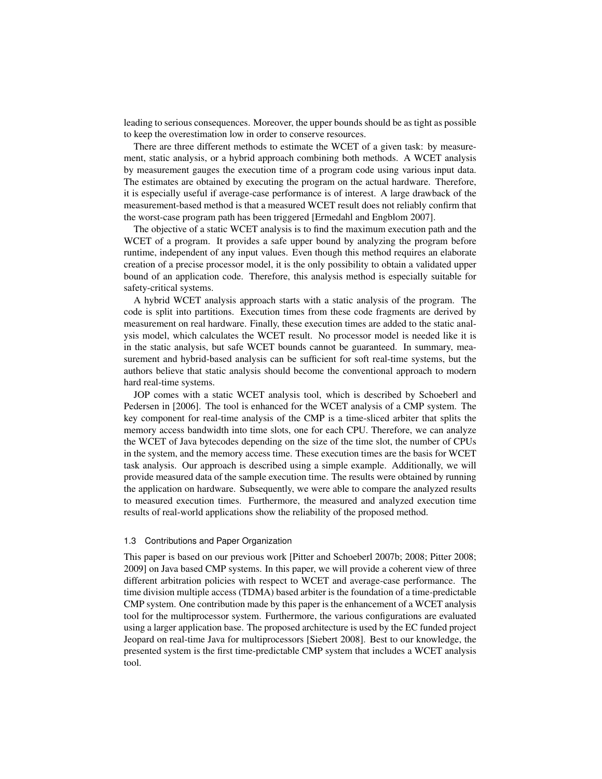leading to serious consequences. Moreover, the upper bounds should be as tight as possible to keep the overestimation low in order to conserve resources.

There are three different methods to estimate the WCET of a given task: by measurement, static analysis, or a hybrid approach combining both methods. A WCET analysis by measurement gauges the execution time of a program code using various input data. The estimates are obtained by executing the program on the actual hardware. Therefore, it is especially useful if average-case performance is of interest. A large drawback of the measurement-based method is that a measured WCET result does not reliably confirm that the worst-case program path has been triggered [Ermedahl and Engblom 2007].

The objective of a static WCET analysis is to find the maximum execution path and the WCET of a program. It provides a safe upper bound by analyzing the program before runtime, independent of any input values. Even though this method requires an elaborate creation of a precise processor model, it is the only possibility to obtain a validated upper bound of an application code. Therefore, this analysis method is especially suitable for safety-critical systems.

A hybrid WCET analysis approach starts with a static analysis of the program. The code is split into partitions. Execution times from these code fragments are derived by measurement on real hardware. Finally, these execution times are added to the static analysis model, which calculates the WCET result. No processor model is needed like it is in the static analysis, but safe WCET bounds cannot be guaranteed. In summary, measurement and hybrid-based analysis can be sufficient for soft real-time systems, but the authors believe that static analysis should become the conventional approach to modern hard real-time systems.

JOP comes with a static WCET analysis tool, which is described by Schoeberl and Pedersen in [2006]. The tool is enhanced for the WCET analysis of a CMP system. The key component for real-time analysis of the CMP is a time-sliced arbiter that splits the memory access bandwidth into time slots, one for each CPU. Therefore, we can analyze the WCET of Java bytecodes depending on the size of the time slot, the number of CPUs in the system, and the memory access time. These execution times are the basis for WCET task analysis. Our approach is described using a simple example. Additionally, we will provide measured data of the sample execution time. The results were obtained by running the application on hardware. Subsequently, we were able to compare the analyzed results to measured execution times. Furthermore, the measured and analyzed execution time results of real-world applications show the reliability of the proposed method.

#### 1.3 Contributions and Paper Organization

This paper is based on our previous work [Pitter and Schoeberl 2007b; 2008; Pitter 2008; 2009] on Java based CMP systems. In this paper, we will provide a coherent view of three different arbitration policies with respect to WCET and average-case performance. The time division multiple access (TDMA) based arbiter is the foundation of a time-predictable CMP system. One contribution made by this paper is the enhancement of a WCET analysis tool for the multiprocessor system. Furthermore, the various configurations are evaluated using a larger application base. The proposed architecture is used by the EC funded project Jeopard on real-time Java for multiprocessors [Siebert 2008]. Best to our knowledge, the presented system is the first time-predictable CMP system that includes a WCET analysis tool.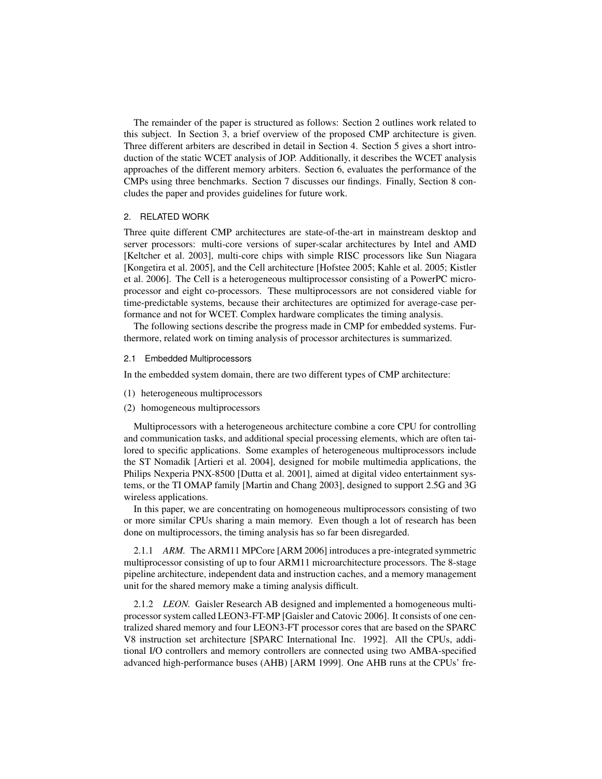The remainder of the paper is structured as follows: Section 2 outlines work related to this subject. In Section 3, a brief overview of the proposed CMP architecture is given. Three different arbiters are described in detail in Section 4. Section 5 gives a short introduction of the static WCET analysis of JOP. Additionally, it describes the WCET analysis approaches of the different memory arbiters. Section 6, evaluates the performance of the CMPs using three benchmarks. Section 7 discusses our findings. Finally, Section 8 concludes the paper and provides guidelines for future work.

# 2. RELATED WORK

Three quite different CMP architectures are state-of-the-art in mainstream desktop and server processors: multi-core versions of super-scalar architectures by Intel and AMD [Keltcher et al. 2003], multi-core chips with simple RISC processors like Sun Niagara [Kongetira et al. 2005], and the Cell architecture [Hofstee 2005; Kahle et al. 2005; Kistler et al. 2006]. The Cell is a heterogeneous multiprocessor consisting of a PowerPC microprocessor and eight co-processors. These multiprocessors are not considered viable for time-predictable systems, because their architectures are optimized for average-case performance and not for WCET. Complex hardware complicates the timing analysis.

The following sections describe the progress made in CMP for embedded systems. Furthermore, related work on timing analysis of processor architectures is summarized.

#### 2.1 Embedded Multiprocessors

In the embedded system domain, there are two different types of CMP architecture:

- (1) heterogeneous multiprocessors
- (2) homogeneous multiprocessors

Multiprocessors with a heterogeneous architecture combine a core CPU for controlling and communication tasks, and additional special processing elements, which are often tailored to specific applications. Some examples of heterogeneous multiprocessors include the ST Nomadik [Artieri et al. 2004], designed for mobile multimedia applications, the Philips Nexperia PNX-8500 [Dutta et al. 2001], aimed at digital video entertainment systems, or the TI OMAP family [Martin and Chang 2003], designed to support 2.5G and 3G wireless applications.

In this paper, we are concentrating on homogeneous multiprocessors consisting of two or more similar CPUs sharing a main memory. Even though a lot of research has been done on multiprocessors, the timing analysis has so far been disregarded.

2.1.1 *ARM.* The ARM11 MPCore [ARM 2006] introduces a pre-integrated symmetric multiprocessor consisting of up to four ARM11 microarchitecture processors. The 8-stage pipeline architecture, independent data and instruction caches, and a memory management unit for the shared memory make a timing analysis difficult.

2.1.2 *LEON.* Gaisler Research AB designed and implemented a homogeneous multiprocessor system called LEON3-FT-MP [Gaisler and Catovic 2006]. It consists of one centralized shared memory and four LEON3-FT processor cores that are based on the SPARC V8 instruction set architecture [SPARC International Inc. 1992]. All the CPUs, additional I/O controllers and memory controllers are connected using two AMBA-specified advanced high-performance buses (AHB) [ARM 1999]. One AHB runs at the CPUs' fre-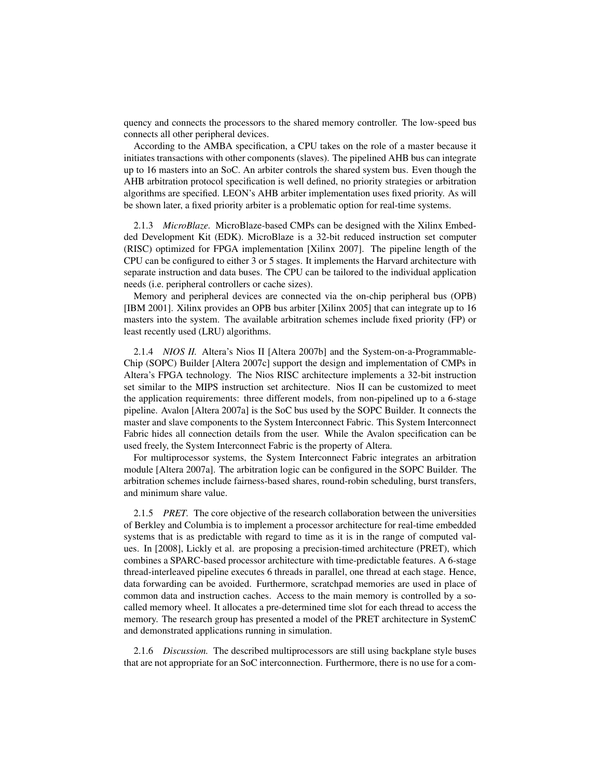quency and connects the processors to the shared memory controller. The low-speed bus connects all other peripheral devices.

According to the AMBA specification, a CPU takes on the role of a master because it initiates transactions with other components (slaves). The pipelined AHB bus can integrate up to 16 masters into an SoC. An arbiter controls the shared system bus. Even though the AHB arbitration protocol specification is well defined, no priority strategies or arbitration algorithms are specified. LEON's AHB arbiter implementation uses fixed priority. As will be shown later, a fixed priority arbiter is a problematic option for real-time systems.

2.1.3 *MicroBlaze.* MicroBlaze-based CMPs can be designed with the Xilinx Embedded Development Kit (EDK). MicroBlaze is a 32-bit reduced instruction set computer (RISC) optimized for FPGA implementation [Xilinx 2007]. The pipeline length of the CPU can be configured to either 3 or 5 stages. It implements the Harvard architecture with separate instruction and data buses. The CPU can be tailored to the individual application needs (i.e. peripheral controllers or cache sizes).

Memory and peripheral devices are connected via the on-chip peripheral bus (OPB) [IBM 2001]. Xilinx provides an OPB bus arbiter [Xilinx 2005] that can integrate up to 16 masters into the system. The available arbitration schemes include fixed priority (FP) or least recently used (LRU) algorithms.

2.1.4 *NIOS II.* Altera's Nios II [Altera 2007b] and the System-on-a-Programmable-Chip (SOPC) Builder [Altera 2007c] support the design and implementation of CMPs in Altera's FPGA technology. The Nios RISC architecture implements a 32-bit instruction set similar to the MIPS instruction set architecture. Nios II can be customized to meet the application requirements: three different models, from non-pipelined up to a 6-stage pipeline. Avalon [Altera 2007a] is the SoC bus used by the SOPC Builder. It connects the master and slave components to the System Interconnect Fabric. This System Interconnect Fabric hides all connection details from the user. While the Avalon specification can be used freely, the System Interconnect Fabric is the property of Altera.

For multiprocessor systems, the System Interconnect Fabric integrates an arbitration module [Altera 2007a]. The arbitration logic can be configured in the SOPC Builder. The arbitration schemes include fairness-based shares, round-robin scheduling, burst transfers, and minimum share value.

2.1.5 *PRET.* The core objective of the research collaboration between the universities of Berkley and Columbia is to implement a processor architecture for real-time embedded systems that is as predictable with regard to time as it is in the range of computed values. In [2008], Lickly et al. are proposing a precision-timed architecture (PRET), which combines a SPARC-based processor architecture with time-predictable features. A 6-stage thread-interleaved pipeline executes 6 threads in parallel, one thread at each stage. Hence, data forwarding can be avoided. Furthermore, scratchpad memories are used in place of common data and instruction caches. Access to the main memory is controlled by a socalled memory wheel. It allocates a pre-determined time slot for each thread to access the memory. The research group has presented a model of the PRET architecture in SystemC and demonstrated applications running in simulation.

2.1.6 *Discussion.* The described multiprocessors are still using backplane style buses that are not appropriate for an SoC interconnection. Furthermore, there is no use for a com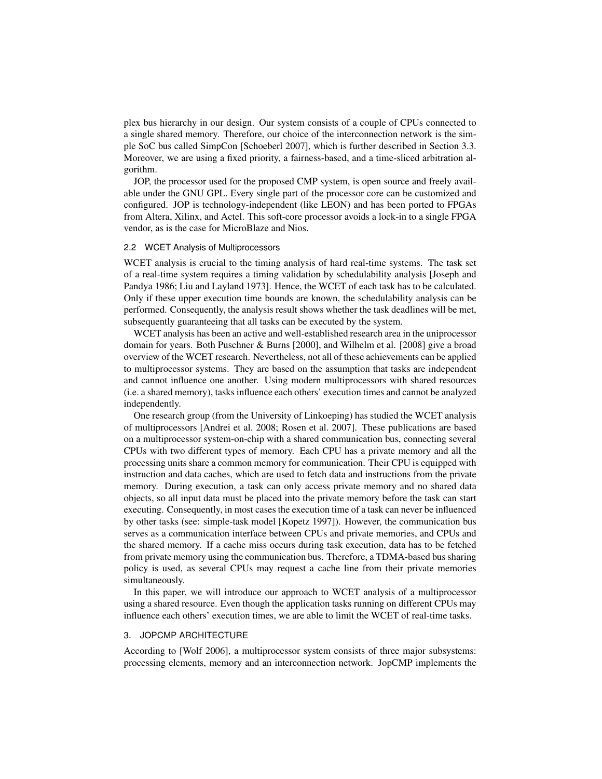plex bus hierarchy in our design. Our system consists of a couple of CPUs connected to a single shared memory. Therefore, our choice of the interconnection network is the simple SoC bus called SimpCon [Schoeberl 2007], which is further described in Section 3.3. Moreover, we are using a fixed priority, a fairness-based, and a time-sliced arbitration algorithm.

JOP, the processor used for the proposed CMP system, is open source and freely available under the GNU GPL. Every single part of the processor core can be customized and configured. JOP is technology-independent (like LEON) and has been ported to FPGAs from Altera, Xilinx, and Actel. This soft-core processor avoids a lock-in to a single FPGA vendor, as is the case for MicroBlaze and Nios.

# 2.2 WCET Analysis of Multiprocessors

WCET analysis is crucial to the timing analysis of hard real-time systems. The task set of a real-time system requires a timing validation by schedulability analysis [Joseph and Pandya 1986; Liu and Layland 1973]. Hence, the WCET of each task has to be calculated. Only if these upper execution time bounds are known, the schedulability analysis can be performed. Consequently, the analysis result shows whether the task deadlines will be met, subsequently guaranteeing that all tasks can be executed by the system.

WCET analysis has been an active and well-established research area in the uniprocessor domain for years. Both Puschner & Burns [2000], and Wilhelm et al. [2008] give a broad overview of the WCET research. Nevertheless, not all of these achievements can be applied to multiprocessor systems. They are based on the assumption that tasks are independent and cannot influence one another. Using modern multiprocessors with shared resources (i.e. a shared memory), tasks influence each others' execution times and cannot be analyzed independently.

One research group (from the University of Linkoeping) has studied the WCET analysis of multiprocessors [Andrei et al. 2008; Rosen et al. 2007]. These publications are based on a multiprocessor system-on-chip with a shared communication bus, connecting several CPUs with two different types of memory. Each CPU has a private memory and all the processing units share a common memory for communication. Their CPU is equipped with instruction and data caches, which are used to fetch data and instructions from the private memory. During execution, a task can only access private memory and no shared data objects, so all input data must be placed into the private memory before the task can start executing. Consequently, in most cases the execution time of a task can never be influenced by other tasks (see: simple-task model [Kopetz 1997]). However, the communication bus serves as a communication interface between CPUs and private memories, and CPUs and the shared memory. If a cache miss occurs during task execution, data has to be fetched from private memory using the communication bus. Therefore, a TDMA-based bus sharing policy is used, as several CPUs may request a cache line from their private memories simultaneously.

In this paper, we will introduce our approach to WCET analysis of a multiprocessor using a shared resource. Even though the application tasks running on different CPUs may influence each others' execution times, we are able to limit the WCET of real-time tasks.

# 3. JOPCMP ARCHITECTURE

According to [Wolf 2006], a multiprocessor system consists of three major subsystems: processing elements, memory and an interconnection network. JopCMP implements the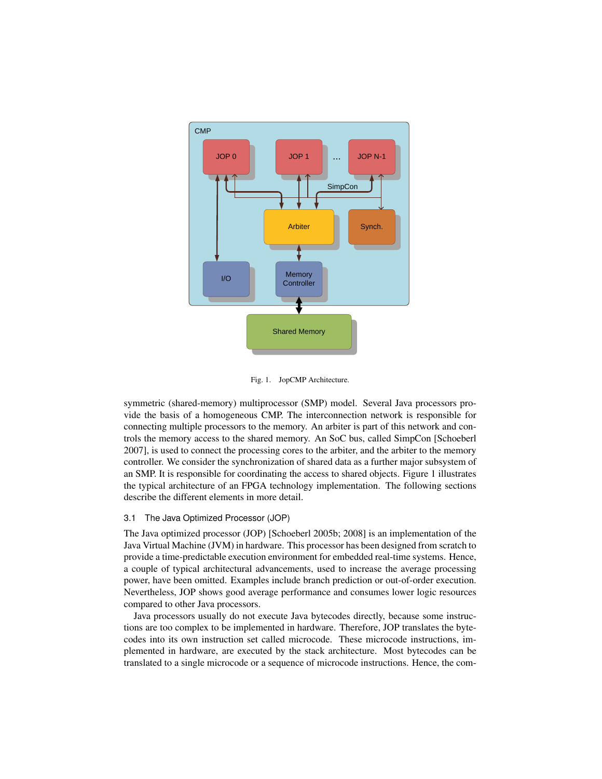

Fig. 1. JopCMP Architecture.

symmetric (shared-memory) multiprocessor (SMP) model. Several Java processors provide the basis of a homogeneous CMP. The interconnection network is responsible for connecting multiple processors to the memory. An arbiter is part of this network and controls the memory access to the shared memory. An SoC bus, called SimpCon [Schoeberl 2007], is used to connect the processing cores to the arbiter, and the arbiter to the memory controller. We consider the synchronization of shared data as a further major subsystem of an SMP. It is responsible for coordinating the access to shared objects. Figure 1 illustrates the typical architecture of an FPGA technology implementation. The following sections describe the different elements in more detail.

## 3.1 The Java Optimized Processor (JOP)

The Java optimized processor (JOP) [Schoeberl 2005b; 2008] is an implementation of the Java Virtual Machine (JVM) in hardware. This processor has been designed from scratch to provide a time-predictable execution environment for embedded real-time systems. Hence, a couple of typical architectural advancements, used to increase the average processing power, have been omitted. Examples include branch prediction or out-of-order execution. Nevertheless, JOP shows good average performance and consumes lower logic resources compared to other Java processors.

Java processors usually do not execute Java bytecodes directly, because some instructions are too complex to be implemented in hardware. Therefore, JOP translates the bytecodes into its own instruction set called microcode. These microcode instructions, implemented in hardware, are executed by the stack architecture. Most bytecodes can be translated to a single microcode or a sequence of microcode instructions. Hence, the com-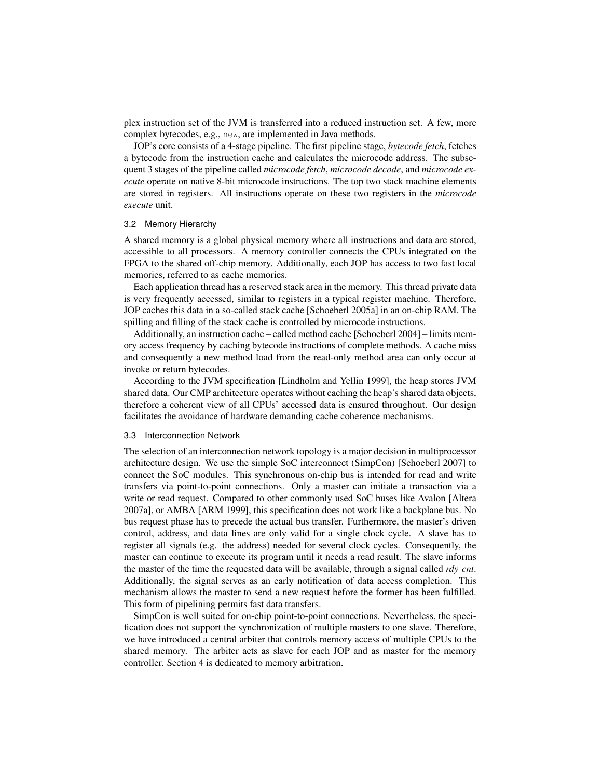plex instruction set of the JVM is transferred into a reduced instruction set. A few, more complex bytecodes, e.g., new, are implemented in Java methods.

JOP's core consists of a 4-stage pipeline. The first pipeline stage, *bytecode fetch*, fetches a bytecode from the instruction cache and calculates the microcode address. The subsequent 3 stages of the pipeline called *microcode fetch*, *microcode decode*, and *microcode execute* operate on native 8-bit microcode instructions. The top two stack machine elements are stored in registers. All instructions operate on these two registers in the *microcode execute* unit.

#### 3.2 Memory Hierarchy

A shared memory is a global physical memory where all instructions and data are stored, accessible to all processors. A memory controller connects the CPUs integrated on the FPGA to the shared off-chip memory. Additionally, each JOP has access to two fast local memories, referred to as cache memories.

Each application thread has a reserved stack area in the memory. This thread private data is very frequently accessed, similar to registers in a typical register machine. Therefore, JOP caches this data in a so-called stack cache [Schoeberl 2005a] in an on-chip RAM. The spilling and filling of the stack cache is controlled by microcode instructions.

Additionally, an instruction cache – called method cache [Schoeberl 2004] – limits memory access frequency by caching bytecode instructions of complete methods. A cache miss and consequently a new method load from the read-only method area can only occur at invoke or return bytecodes.

According to the JVM specification [Lindholm and Yellin 1999], the heap stores JVM shared data. Our CMP architecture operates without caching the heap's shared data objects, therefore a coherent view of all CPUs' accessed data is ensured throughout. Our design facilitates the avoidance of hardware demanding cache coherence mechanisms.

#### 3.3 Interconnection Network

The selection of an interconnection network topology is a major decision in multiprocessor architecture design. We use the simple SoC interconnect (SimpCon) [Schoeberl 2007] to connect the SoC modules. This synchronous on-chip bus is intended for read and write transfers via point-to-point connections. Only a master can initiate a transaction via a write or read request. Compared to other commonly used SoC buses like Avalon [Altera 2007a], or AMBA [ARM 1999], this specification does not work like a backplane bus. No bus request phase has to precede the actual bus transfer. Furthermore, the master's driven control, address, and data lines are only valid for a single clock cycle. A slave has to register all signals (e.g. the address) needed for several clock cycles. Consequently, the master can continue to execute its program until it needs a read result. The slave informs the master of the time the requested data will be available, through a signal called *rdy cnt*. Additionally, the signal serves as an early notification of data access completion. This mechanism allows the master to send a new request before the former has been fulfilled. This form of pipelining permits fast data transfers.

SimpCon is well suited for on-chip point-to-point connections. Nevertheless, the specification does not support the synchronization of multiple masters to one slave. Therefore, we have introduced a central arbiter that controls memory access of multiple CPUs to the shared memory. The arbiter acts as slave for each JOP and as master for the memory controller. Section 4 is dedicated to memory arbitration.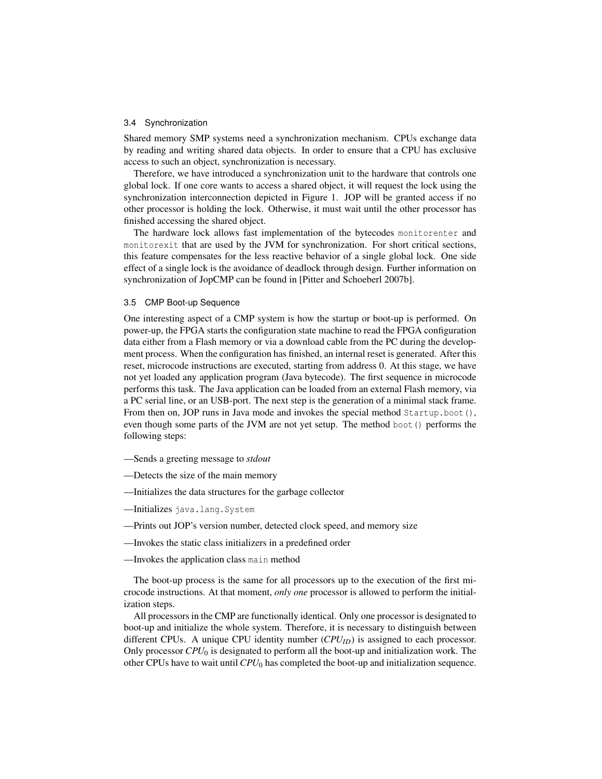#### 3.4 Synchronization

Shared memory SMP systems need a synchronization mechanism. CPUs exchange data by reading and writing shared data objects. In order to ensure that a CPU has exclusive access to such an object, synchronization is necessary.

Therefore, we have introduced a synchronization unit to the hardware that controls one global lock. If one core wants to access a shared object, it will request the lock using the synchronization interconnection depicted in Figure 1. JOP will be granted access if no other processor is holding the lock. Otherwise, it must wait until the other processor has finished accessing the shared object.

The hardware lock allows fast implementation of the bytecodes monitorenter and monitorexit that are used by the JVM for synchronization. For short critical sections, this feature compensates for the less reactive behavior of a single global lock. One side effect of a single lock is the avoidance of deadlock through design. Further information on synchronization of JopCMP can be found in [Pitter and Schoeberl 2007b].

## 3.5 CMP Boot-up Sequence

One interesting aspect of a CMP system is how the startup or boot-up is performed. On power-up, the FPGA starts the configuration state machine to read the FPGA configuration data either from a Flash memory or via a download cable from the PC during the development process. When the configuration has finished, an internal reset is generated. After this reset, microcode instructions are executed, starting from address 0. At this stage, we have not yet loaded any application program (Java bytecode). The first sequence in microcode performs this task. The Java application can be loaded from an external Flash memory, via a PC serial line, or an USB-port. The next step is the generation of a minimal stack frame. From then on, JOP runs in Java mode and invokes the special method Startup.boot(), even though some parts of the JVM are not yet setup. The method boot() performs the following steps:

- —Sends a greeting message to *stdout*
- —Detects the size of the main memory
- —Initializes the data structures for the garbage collector
- —Initializes java.lang.System
- —Prints out JOP's version number, detected clock speed, and memory size
- —Invokes the static class initializers in a predefined order
- —Invokes the application class main method

The boot-up process is the same for all processors up to the execution of the first microcode instructions. At that moment, *only one* processor is allowed to perform the initialization steps.

All processors in the CMP are functionally identical. Only one processor is designated to boot-up and initialize the whole system. Therefore, it is necessary to distinguish between different CPUs. A unique CPU identity number (*CPUID*) is assigned to each processor. Only processor *CPU*<sup>0</sup> is designated to perform all the boot-up and initialization work. The other CPUs have to wait until *CPU*<sup>0</sup> has completed the boot-up and initialization sequence.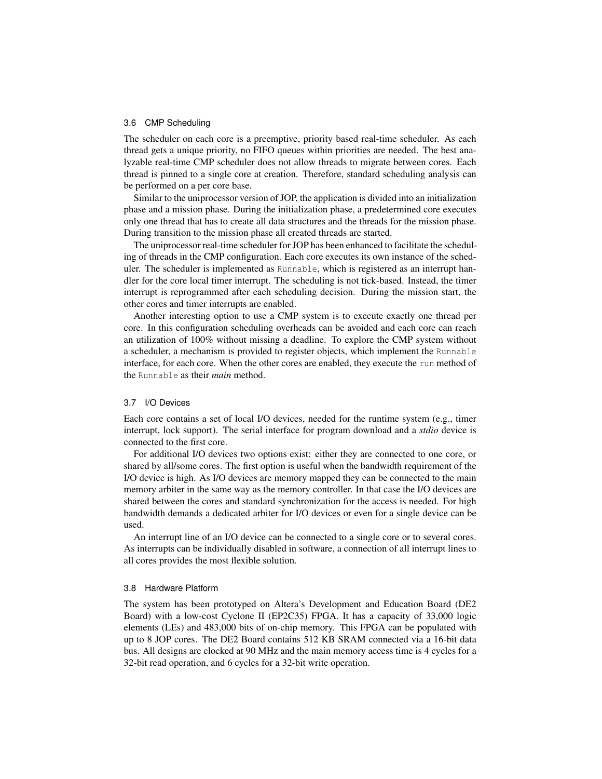## 3.6 CMP Scheduling

The scheduler on each core is a preemptive, priority based real-time scheduler. As each thread gets a unique priority, no FIFO queues within priorities are needed. The best analyzable real-time CMP scheduler does not allow threads to migrate between cores. Each thread is pinned to a single core at creation. Therefore, standard scheduling analysis can be performed on a per core base.

Similar to the uniprocessor version of JOP, the application is divided into an initialization phase and a mission phase. During the initialization phase, a predetermined core executes only one thread that has to create all data structures and the threads for the mission phase. During transition to the mission phase all created threads are started.

The uniprocessor real-time scheduler for JOP has been enhanced to facilitate the scheduling of threads in the CMP configuration. Each core executes its own instance of the scheduler. The scheduler is implemented as Runnable, which is registered as an interrupt handler for the core local timer interrupt. The scheduling is not tick-based. Instead, the timer interrupt is reprogrammed after each scheduling decision. During the mission start, the other cores and timer interrupts are enabled.

Another interesting option to use a CMP system is to execute exactly one thread per core. In this configuration scheduling overheads can be avoided and each core can reach an utilization of 100% without missing a deadline. To explore the CMP system without a scheduler, a mechanism is provided to register objects, which implement the Runnable interface, for each core. When the other cores are enabled, they execute the run method of the Runnable as their *main* method.

# 3.7 I/O Devices

Each core contains a set of local I/O devices, needed for the runtime system (e.g., timer interrupt, lock support). The serial interface for program download and a *stdio* device is connected to the first core.

For additional I/O devices two options exist: either they are connected to one core, or shared by all/some cores. The first option is useful when the bandwidth requirement of the I/O device is high. As I/O devices are memory mapped they can be connected to the main memory arbiter in the same way as the memory controller. In that case the I/O devices are shared between the cores and standard synchronization for the access is needed. For high bandwidth demands a dedicated arbiter for I/O devices or even for a single device can be used.

An interrupt line of an I/O device can be connected to a single core or to several cores. As interrupts can be individually disabled in software, a connection of all interrupt lines to all cores provides the most flexible solution.

## 3.8 Hardware Platform

The system has been prototyped on Altera's Development and Education Board (DE2 Board) with a low-cost Cyclone II (EP2C35) FPGA. It has a capacity of 33,000 logic elements (LEs) and 483,000 bits of on-chip memory. This FPGA can be populated with up to 8 JOP cores. The DE2 Board contains 512 KB SRAM connected via a 16-bit data bus. All designs are clocked at 90 MHz and the main memory access time is 4 cycles for a 32-bit read operation, and 6 cycles for a 32-bit write operation.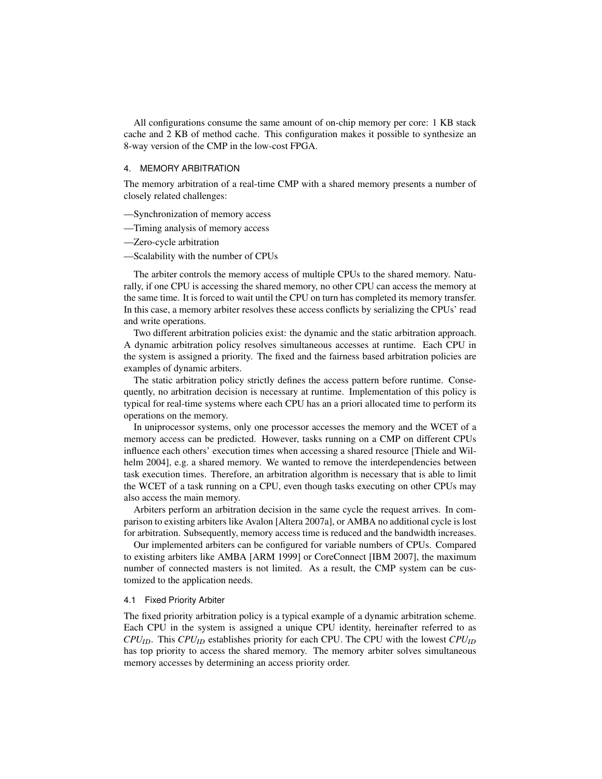All configurations consume the same amount of on-chip memory per core: 1 KB stack cache and 2 KB of method cache. This configuration makes it possible to synthesize an 8-way version of the CMP in the low-cost FPGA.

## 4. MEMORY ARBITRATION

The memory arbitration of a real-time CMP with a shared memory presents a number of closely related challenges:

- —Synchronization of memory access
- —Timing analysis of memory access
- —Zero-cycle arbitration
- —Scalability with the number of CPUs

The arbiter controls the memory access of multiple CPUs to the shared memory. Naturally, if one CPU is accessing the shared memory, no other CPU can access the memory at the same time. It is forced to wait until the CPU on turn has completed its memory transfer. In this case, a memory arbiter resolves these access conflicts by serializing the CPUs' read and write operations.

Two different arbitration policies exist: the dynamic and the static arbitration approach. A dynamic arbitration policy resolves simultaneous accesses at runtime. Each CPU in the system is assigned a priority. The fixed and the fairness based arbitration policies are examples of dynamic arbiters.

The static arbitration policy strictly defines the access pattern before runtime. Consequently, no arbitration decision is necessary at runtime. Implementation of this policy is typical for real-time systems where each CPU has an a priori allocated time to perform its operations on the memory.

In uniprocessor systems, only one processor accesses the memory and the WCET of a memory access can be predicted. However, tasks running on a CMP on different CPUs influence each others' execution times when accessing a shared resource [Thiele and Wilhelm 2004], e.g. a shared memory. We wanted to remove the interdependencies between task execution times. Therefore, an arbitration algorithm is necessary that is able to limit the WCET of a task running on a CPU, even though tasks executing on other CPUs may also access the main memory.

Arbiters perform an arbitration decision in the same cycle the request arrives. In comparison to existing arbiters like Avalon [Altera 2007a], or AMBA no additional cycle is lost for arbitration. Subsequently, memory access time is reduced and the bandwidth increases.

Our implemented arbiters can be configured for variable numbers of CPUs. Compared to existing arbiters like AMBA [ARM 1999] or CoreConnect [IBM 2007], the maximum number of connected masters is not limited. As a result, the CMP system can be customized to the application needs.

## 4.1 Fixed Priority Arbiter

The fixed priority arbitration policy is a typical example of a dynamic arbitration scheme. Each CPU in the system is assigned a unique CPU identity, hereinafter referred to as *CPUID*. This *CPUID* establishes priority for each CPU. The CPU with the lowest *CPUID* has top priority to access the shared memory. The memory arbiter solves simultaneous memory accesses by determining an access priority order.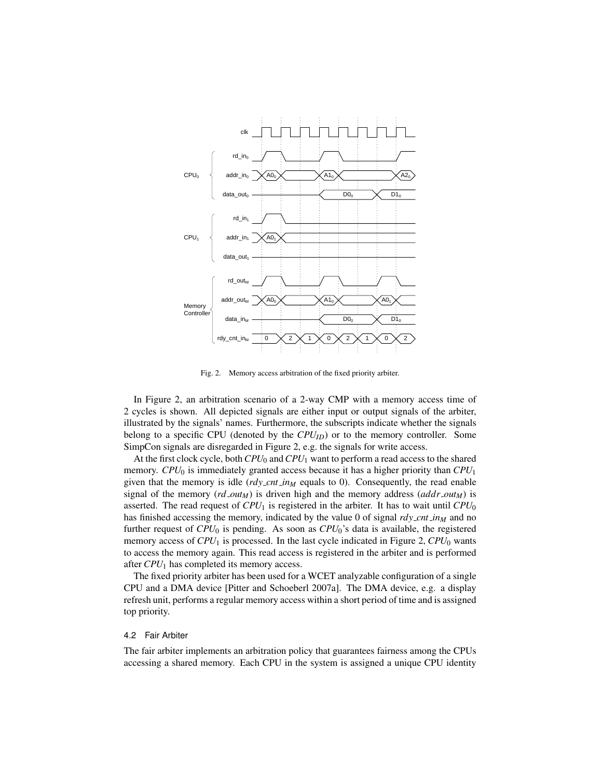

Fig. 2. Memory access arbitration of the fixed priority arbiter.

In Figure 2, an arbitration scenario of a 2-way CMP with a memory access time of 2 cycles is shown. All depicted signals are either input or output signals of the arbiter, illustrated by the signals' names. Furthermore, the subscripts indicate whether the signals belong to a specific CPU (denoted by the  $CPU_{ID}$ ) or to the memory controller. Some SimpCon signals are disregarded in Figure 2, e.g. the signals for write access.

At the first clock cycle, both*CPU*<sup>0</sup> and*CPU*<sup>1</sup> want to perform a read access to the shared memory. *CPU*<sup>0</sup> is immediately granted access because it has a higher priority than *CPU*<sup>1</sup> given that the memory is idle (*rdy cnt in<sup>M</sup>* equals to 0). Consequently, the read enable signal of the memory  $(rd_{outM})$  is driven high and the memory address  $(addr_{outM})$  is asserted. The read request of  $CPU_1$  is registered in the arbiter. It has to wait until  $CPU_0$ has finished accessing the memory, indicated by the value 0 of signal *rdy cnt in<sup>M</sup>* and no further request of *CPU*<sup>0</sup> is pending. As soon as *CPU*0's data is available, the registered memory access of  $CPU_1$  is processed. In the last cycle indicated in Figure 2,  $CPU_0$  wants to access the memory again. This read access is registered in the arbiter and is performed after *CPU*<sub>1</sub> has completed its memory access.

The fixed priority arbiter has been used for a WCET analyzable configuration of a single CPU and a DMA device [Pitter and Schoeberl 2007a]. The DMA device, e.g. a display refresh unit, performs a regular memory access within a short period of time and is assigned top priority.

## 4.2 Fair Arbiter

The fair arbiter implements an arbitration policy that guarantees fairness among the CPUs accessing a shared memory. Each CPU in the system is assigned a unique CPU identity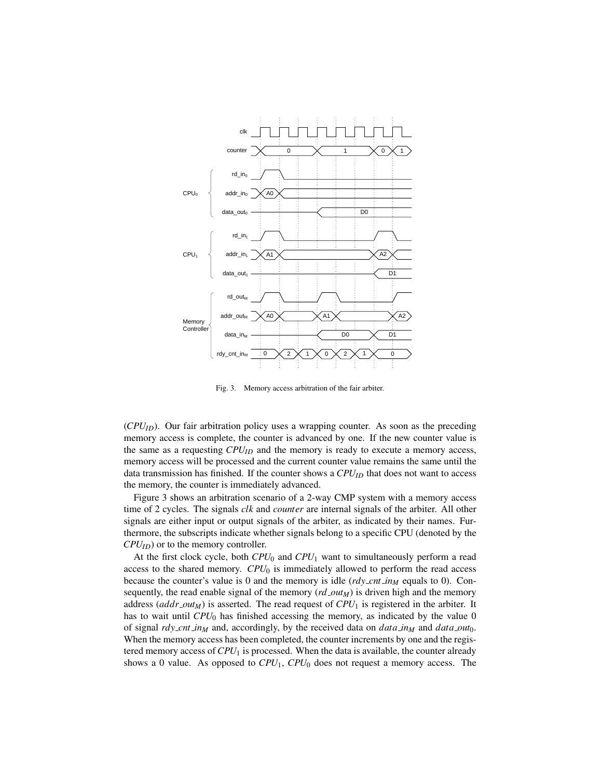

Fig. 3. Memory access arbitration of the fair arbiter.

(*CPUID*). Our fair arbitration policy uses a wrapping counter. As soon as the preceding memory access is complete, the counter is advanced by one. If the new counter value is the same as a requesting *CPUID* and the memory is ready to execute a memory access, memory access will be processed and the current counter value remains the same until the data transmission has finished. If the counter shows a *CPUID* that does not want to access the memory, the counter is immediately advanced.

Figure 3 shows an arbitration scenario of a 2-way CMP system with a memory access time of 2 cycles. The signals *clk* and *counter* are internal signals of the arbiter. All other signals are either input or output signals of the arbiter, as indicated by their names. Furthermore, the subscripts indicate whether signals belong to a specific CPU (denoted by the  $CPU$ *ID*) or to the memory controller.

At the first clock cycle, both  $CPU_0$  and  $CPU_1$  want to simultaneously perform a read access to the shared memory. *CPU*<sub>0</sub> is immediately allowed to perform the read access because the counter's value is 0 and the memory is idle  $\left(\frac{r}{dy}\right)$  *cational con*sequently, the read enable signal of the memory  $\left(rd\_out_M\right)$  is driven high and the memory address (*addr\_out<sub>M</sub>*) is asserted. The read request of  $CPU_1$  is registered in the arbiter. It has to wait until CPU<sub>0</sub> has finished accessing the memory, as indicated by the value 0 of signal *rdy cnt in<sup>M</sup>* and, accordingly, by the received data on *data in<sup>M</sup>* and *data out*0. When the memory access has been completed, the counter increments by one and the registered memory access of *CPU*<sup>1</sup> is processed. When the data is available, the counter already shows a 0 value. As opposed to *CPU*1, *CPU*<sup>0</sup> does not request a memory access. The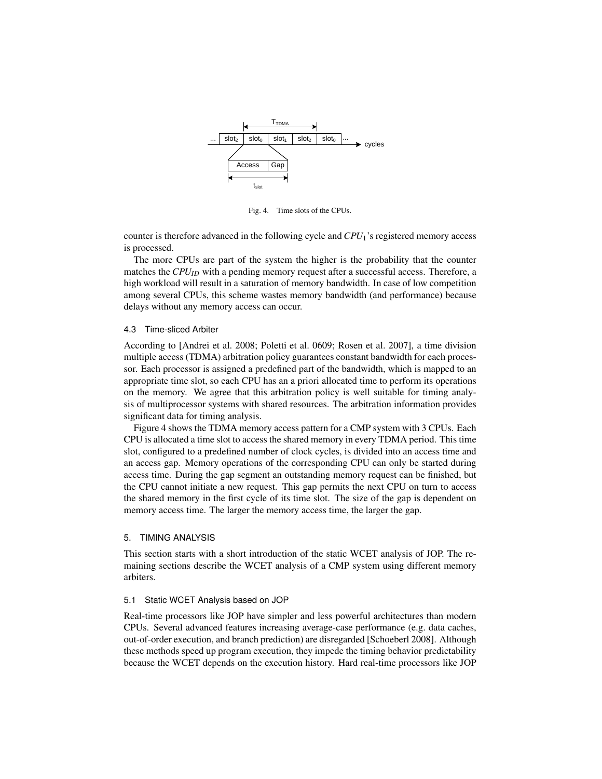

Fig. 4. Time slots of the CPUs.

counter is therefore advanced in the following cycle and *CPU*1's registered memory access is processed.

The more CPUs are part of the system the higher is the probability that the counter matches the *CPU<sub>ID</sub>* with a pending memory request after a successful access. Therefore, a high workload will result in a saturation of memory bandwidth. In case of low competition among several CPUs, this scheme wastes memory bandwidth (and performance) because delays without any memory access can occur.

#### 4.3 Time-sliced Arbiter

According to [Andrei et al. 2008; Poletti et al. 0609; Rosen et al. 2007], a time division multiple access (TDMA) arbitration policy guarantees constant bandwidth for each processor. Each processor is assigned a predefined part of the bandwidth, which is mapped to an appropriate time slot, so each CPU has an a priori allocated time to perform its operations on the memory. We agree that this arbitration policy is well suitable for timing analysis of multiprocessor systems with shared resources. The arbitration information provides significant data for timing analysis.

Figure 4 shows the TDMA memory access pattern for a CMP system with 3 CPUs. Each CPU is allocated a time slot to access the shared memory in every TDMA period. This time slot, configured to a predefined number of clock cycles, is divided into an access time and an access gap. Memory operations of the corresponding CPU can only be started during access time. During the gap segment an outstanding memory request can be finished, but the CPU cannot initiate a new request. This gap permits the next CPU on turn to access the shared memory in the first cycle of its time slot. The size of the gap is dependent on memory access time. The larger the memory access time, the larger the gap.

## 5. TIMING ANALYSIS

This section starts with a short introduction of the static WCET analysis of JOP. The remaining sections describe the WCET analysis of a CMP system using different memory arbiters.

## 5.1 Static WCET Analysis based on JOP

Real-time processors like JOP have simpler and less powerful architectures than modern CPUs. Several advanced features increasing average-case performance (e.g. data caches, out-of-order execution, and branch prediction) are disregarded [Schoeberl 2008]. Although these methods speed up program execution, they impede the timing behavior predictability because the WCET depends on the execution history. Hard real-time processors like JOP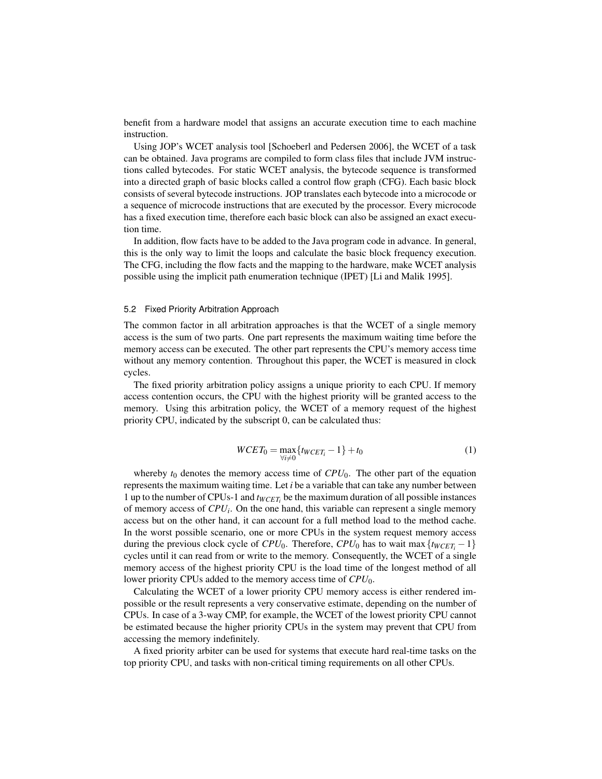benefit from a hardware model that assigns an accurate execution time to each machine instruction.

Using JOP's WCET analysis tool [Schoeberl and Pedersen 2006], the WCET of a task can be obtained. Java programs are compiled to form class files that include JVM instructions called bytecodes. For static WCET analysis, the bytecode sequence is transformed into a directed graph of basic blocks called a control flow graph (CFG). Each basic block consists of several bytecode instructions. JOP translates each bytecode into a microcode or a sequence of microcode instructions that are executed by the processor. Every microcode has a fixed execution time, therefore each basic block can also be assigned an exact execution time.

In addition, flow facts have to be added to the Java program code in advance. In general, this is the only way to limit the loops and calculate the basic block frequency execution. The CFG, including the flow facts and the mapping to the hardware, make WCET analysis possible using the implicit path enumeration technique (IPET) [Li and Malik 1995].

## 5.2 Fixed Priority Arbitration Approach

The common factor in all arbitration approaches is that the WCET of a single memory access is the sum of two parts. One part represents the maximum waiting time before the memory access can be executed. The other part represents the CPU's memory access time without any memory contention. Throughout this paper, the WCET is measured in clock cycles.

The fixed priority arbitration policy assigns a unique priority to each CPU. If memory access contention occurs, the CPU with the highest priority will be granted access to the memory. Using this arbitration policy, the WCET of a memory request of the highest priority CPU, indicated by the subscript 0, can be calculated thus:

$$
WCET_0 = \max_{\forall i \neq 0} \{ t_{WCET_i} - 1 \} + t_0 \tag{1}
$$

whereby  $t_0$  denotes the memory access time of  $CPU_0$ . The other part of the equation represents the maximum waiting time. Let *i* be a variable that can take any number between 1 up to the number of CPUs-1 and *tWCET<sup>i</sup>* be the maximum duration of all possible instances of memory access of *CPU<sup>i</sup>* . On the one hand, this variable can represent a single memory access but on the other hand, it can account for a full method load to the method cache. In the worst possible scenario, one or more CPUs in the system request memory access during the previous clock cycle of  $CPU_0$ . Therefore,  $CPU_0$  has to wait max  $\{t_{WGET} - 1\}$ cycles until it can read from or write to the memory. Consequently, the WCET of a single memory access of the highest priority CPU is the load time of the longest method of all lower priority CPUs added to the memory access time of *CPU*0.

Calculating the WCET of a lower priority CPU memory access is either rendered impossible or the result represents a very conservative estimate, depending on the number of CPUs. In case of a 3-way CMP, for example, the WCET of the lowest priority CPU cannot be estimated because the higher priority CPUs in the system may prevent that CPU from accessing the memory indefinitely.

A fixed priority arbiter can be used for systems that execute hard real-time tasks on the top priority CPU, and tasks with non-critical timing requirements on all other CPUs.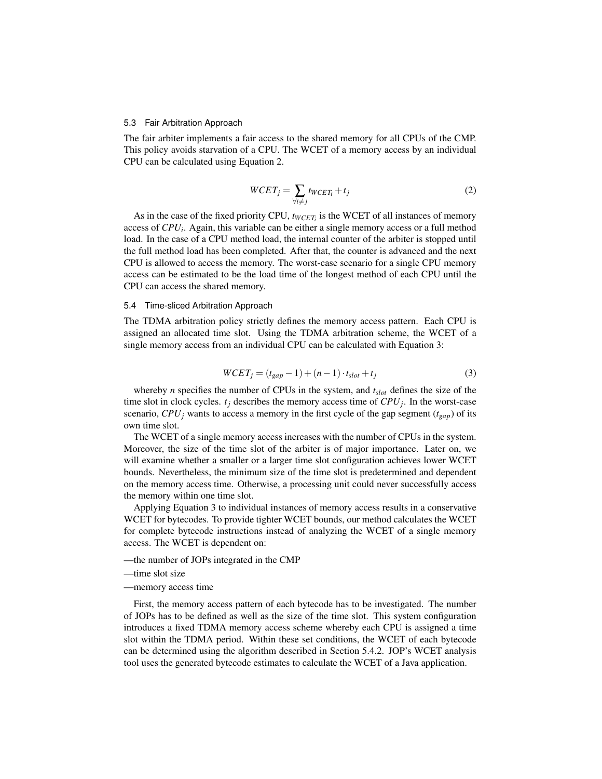#### 5.3 Fair Arbitration Approach

The fair arbiter implements a fair access to the shared memory for all CPUs of the CMP. This policy avoids starvation of a CPU. The WCET of a memory access by an individual CPU can be calculated using Equation 2.

$$
WCET_j = \sum_{\forall i \neq j} t_{WCET_i} + t_j \tag{2}
$$

As in the case of the fixed priority CPU,  $t_{WCET_i}$  is the WCET of all instances of memory access of *CPU<sup>i</sup>* . Again, this variable can be either a single memory access or a full method load. In the case of a CPU method load, the internal counter of the arbiter is stopped until the full method load has been completed. After that, the counter is advanced and the next CPU is allowed to access the memory. The worst-case scenario for a single CPU memory access can be estimated to be the load time of the longest method of each CPU until the CPU can access the shared memory.

#### 5.4 Time-sliced Arbitration Approach

The TDMA arbitration policy strictly defines the memory access pattern. Each CPU is assigned an allocated time slot. Using the TDMA arbitration scheme, the WCET of a single memory access from an individual CPU can be calculated with Equation 3:

$$
WCET_j = (t_{gap} - 1) + (n - 1) \cdot t_{slot} + t_j \tag{3}
$$

whereby *n* specifies the number of CPUs in the system, and *tslot* defines the size of the time slot in clock cycles. *t<sup>j</sup>* describes the memory access time of *CPU<sup>j</sup>* . In the worst-case scenario,  $CPU_j$  wants to access a memory in the first cycle of the gap segment ( $t_{gap}$ ) of its own time slot.

The WCET of a single memory access increases with the number of CPUs in the system. Moreover, the size of the time slot of the arbiter is of major importance. Later on, we will examine whether a smaller or a larger time slot configuration achieves lower WCET bounds. Nevertheless, the minimum size of the time slot is predetermined and dependent on the memory access time. Otherwise, a processing unit could never successfully access the memory within one time slot.

Applying Equation 3 to individual instances of memory access results in a conservative WCET for bytecodes. To provide tighter WCET bounds, our method calculates the WCET for complete bytecode instructions instead of analyzing the WCET of a single memory access. The WCET is dependent on:

- —the number of JOPs integrated in the CMP
- —time slot size
- —memory access time

First, the memory access pattern of each bytecode has to be investigated. The number of JOPs has to be defined as well as the size of the time slot. This system configuration introduces a fixed TDMA memory access scheme whereby each CPU is assigned a time slot within the TDMA period. Within these set conditions, the WCET of each bytecode can be determined using the algorithm described in Section 5.4.2. JOP's WCET analysis tool uses the generated bytecode estimates to calculate the WCET of a Java application.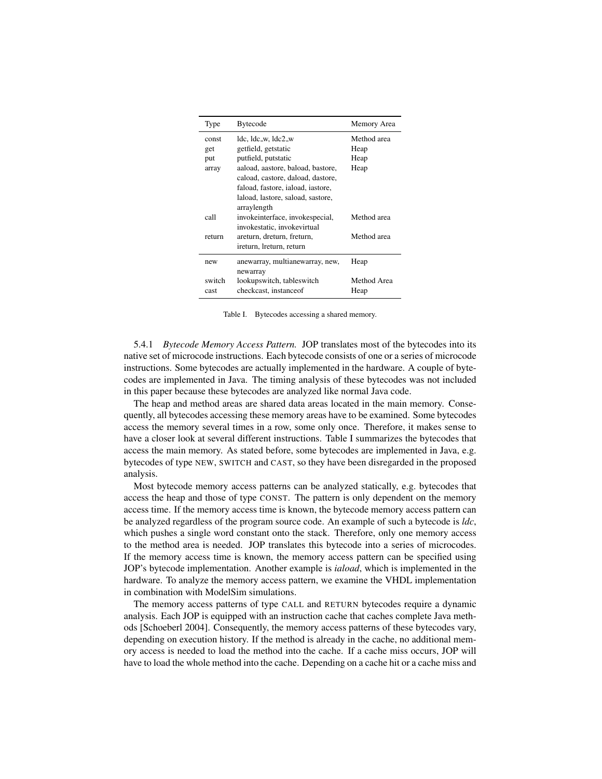| Type   | <b>Bytecode</b>                                   | Memory Area |
|--------|---------------------------------------------------|-------------|
| const  | $1dc$ , $1dc$ <sub>-W</sub> , $1dc$ <sub>-W</sub> | Method area |
| get    | getfield, getstatic                               | Heap        |
| put    | putfield, putstatic                               | Heap        |
| array  | aaload, aastore, baload, bastore,                 | Heap        |
|        | caload, castore, daload, dastore,                 |             |
|        | faload, fastore, iaload, iastore,                 |             |
|        | laload, lastore, saload, sastore,                 |             |
|        | arraylength                                       |             |
| call   | invokeinterface, invokespecial,                   | Method area |
|        | invokestatic, invokevirtual                       |             |
| return | areturn, dreturn, freturn,                        | Method area |
|        | ireturn, Ireturn, return                          |             |
| new    | anewarray, multianewarray, new,                   | Heap        |
|        | newarray                                          |             |
| switch | lookupswitch, tableswitch                         | Method Area |
| cast   | checkcast, instance of                            | Heap        |

Table I. Bytecodes accessing a shared memory.

5.4.1 *Bytecode Memory Access Pattern.* JOP translates most of the bytecodes into its native set of microcode instructions. Each bytecode consists of one or a series of microcode instructions. Some bytecodes are actually implemented in the hardware. A couple of bytecodes are implemented in Java. The timing analysis of these bytecodes was not included in this paper because these bytecodes are analyzed like normal Java code.

The heap and method areas are shared data areas located in the main memory. Consequently, all bytecodes accessing these memory areas have to be examined. Some bytecodes access the memory several times in a row, some only once. Therefore, it makes sense to have a closer look at several different instructions. Table I summarizes the bytecodes that access the main memory. As stated before, some bytecodes are implemented in Java, e.g. bytecodes of type NEW, SWITCH and CAST, so they have been disregarded in the proposed analysis.

Most bytecode memory access patterns can be analyzed statically, e.g. bytecodes that access the heap and those of type CONST. The pattern is only dependent on the memory access time. If the memory access time is known, the bytecode memory access pattern can be analyzed regardless of the program source code. An example of such a bytecode is *ldc*, which pushes a single word constant onto the stack. Therefore, only one memory access to the method area is needed. JOP translates this bytecode into a series of microcodes. If the memory access time is known, the memory access pattern can be specified using JOP's bytecode implementation. Another example is *iaload*, which is implemented in the hardware. To analyze the memory access pattern, we examine the VHDL implementation in combination with ModelSim simulations.

The memory access patterns of type CALL and RETURN bytecodes require a dynamic analysis. Each JOP is equipped with an instruction cache that caches complete Java methods [Schoeberl 2004]. Consequently, the memory access patterns of these bytecodes vary, depending on execution history. If the method is already in the cache, no additional memory access is needed to load the method into the cache. If a cache miss occurs, JOP will have to load the whole method into the cache. Depending on a cache hit or a cache miss and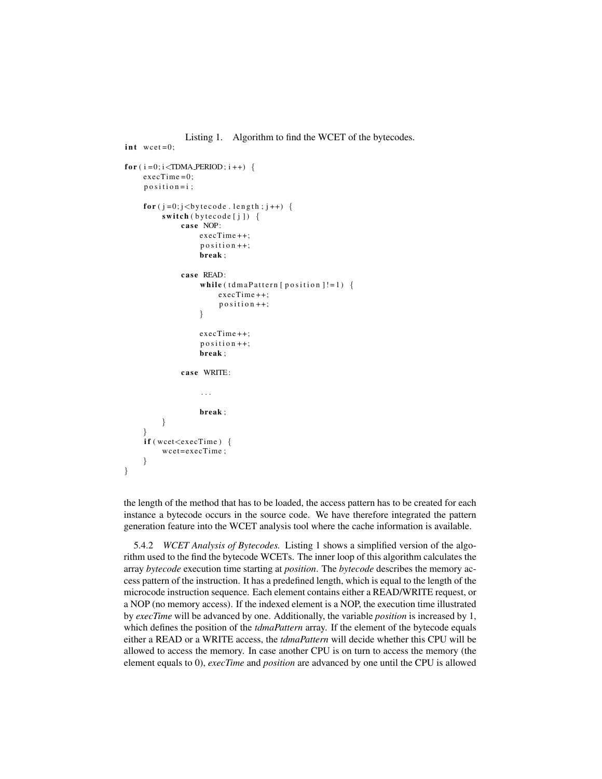```
Listing 1. Algorithm to find the WCET of the bytecodes.
in t wcet=0:
for (i=0; i <b>TDMA-PERIOD</b>; i++) {
```

```
execTime = 0;po s i t i o n = i;
    for (j=0; j < bytecode. length; j++) {
         \textbf{switch}(\text{bytecode}[j]) {
              case NOP:
                   execTime ++;
                   position++;break ;
              case READ:
                   while (tdmaPattern[position]!=1) {
                        execTime ++;
                        position++;}
                   execTime ++;
                   position++;break ;
              case WRITE:
                    . . .
                   break ;
         }
     }
     if (wcet < csecTime) {
         wcet=execTime;
     }
}
```
the length of the method that has to be loaded, the access pattern has to be created for each instance a bytecode occurs in the source code. We have therefore integrated the pattern generation feature into the WCET analysis tool where the cache information is available.

5.4.2 *WCET Analysis of Bytecodes.* Listing 1 shows a simplified version of the algorithm used to the find the bytecode WCETs. The inner loop of this algorithm calculates the array *bytecode* execution time starting at *position*. The *bytecode* describes the memory access pattern of the instruction. It has a predefined length, which is equal to the length of the microcode instruction sequence. Each element contains either a READ/WRITE request, or a NOP (no memory access). If the indexed element is a NOP, the execution time illustrated by *execTime* will be advanced by one. Additionally, the variable *position* is increased by 1, which defines the position of the *tdmaPattern* array. If the element of the bytecode equals either a READ or a WRITE access, the *tdmaPattern* will decide whether this CPU will be allowed to access the memory. In case another CPU is on turn to access the memory (the element equals to 0), *execTime* and *position* are advanced by one until the CPU is allowed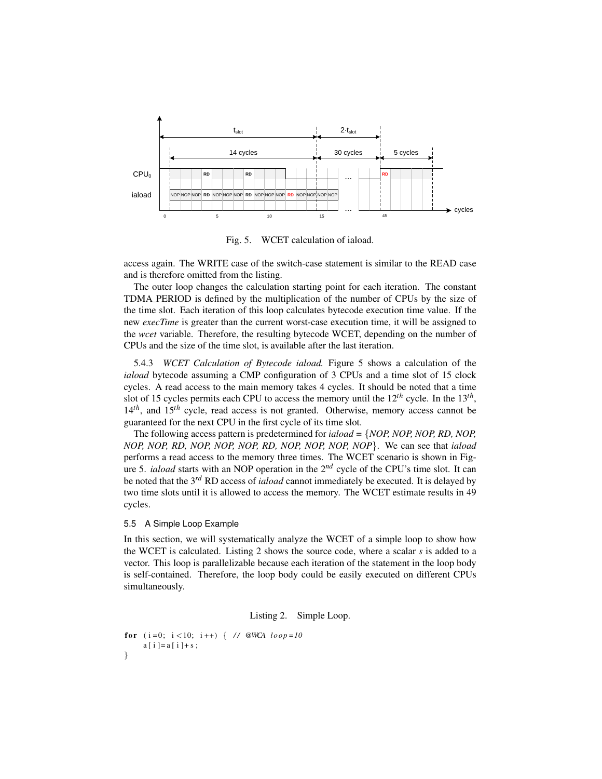

Fig. 5. WCET calculation of iaload.

access again. The WRITE case of the switch-case statement is similar to the READ case and is therefore omitted from the listing.

The outer loop changes the calculation starting point for each iteration. The constant TDMA PERIOD is defined by the multiplication of the number of CPUs by the size of the time slot. Each iteration of this loop calculates bytecode execution time value. If the new *execTime* is greater than the current worst-case execution time, it will be assigned to the *wcet* variable. Therefore, the resulting bytecode WCET, depending on the number of CPUs and the size of the time slot, is available after the last iteration.

5.4.3 *WCET Calculation of Bytecode iaload.* Figure 5 shows a calculation of the *iaload* bytecode assuming a CMP configuration of 3 CPUs and a time slot of 15 clock cycles. A read access to the main memory takes 4 cycles. It should be noted that a time slot of 15 cycles permits each CPU to access the memory until the 12*th* cycle. In the 13*th* , 14<sup>th</sup>, and 15<sup>th</sup> cycle, read access is not granted. Otherwise, memory access cannot be guaranteed for the next CPU in the first cycle of its time slot.

The following access pattern is predetermined for *iaload =* {*NOP, NOP, NOP, RD, NOP, NOP, NOP, RD, NOP, NOP, NOP, RD, NOP, NOP, NOP, NOP*}. We can see that *iaload* performs a read access to the memory three times. The WCET scenario is shown in Figure 5. *iaload* starts with an NOP operation in the 2*nd* cycle of the CPU's time slot. It can be noted that the 3*rd* RD access of *iaload* cannot immediately be executed. It is delayed by two time slots until it is allowed to access the memory. The WCET estimate results in 49 cycles.

#### 5.5 A Simple Loop Example

In this section, we will systematically analyze the WCET of a simple loop to show how the WCET is calculated. Listing 2 shows the source code, where a scalar *s* is added to a vector. This loop is parallelizable because each iteration of the statement in the loop body is self-contained. Therefore, the loop body could be easily executed on different CPUs simultaneously.

# Listing 2. Simple Loop.

```
for (i=0; i<10; i++) \{ // @WCA loop=10a [ i ] = a [ i ] + s ;}
```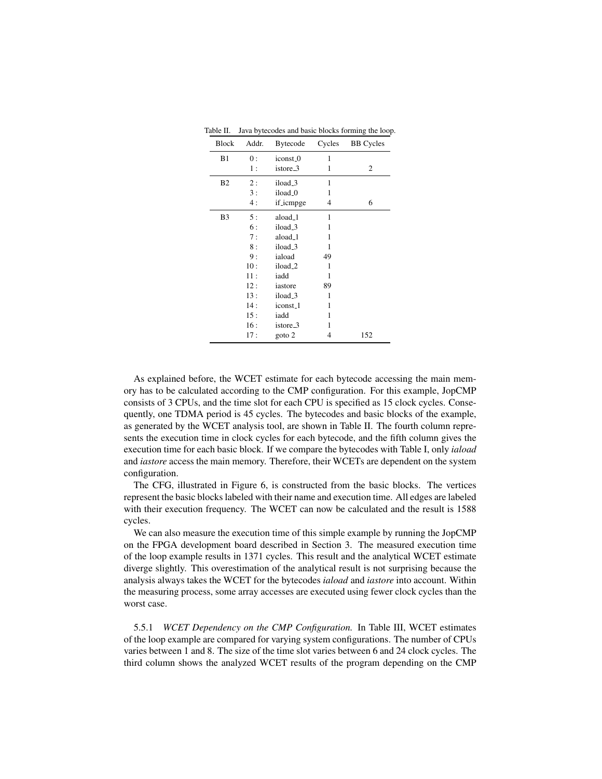| <b>Block</b>   | Addr. | <b>Bytecode</b>      | Cycles | <b>BB</b> Cycles |
|----------------|-------|----------------------|--------|------------------|
| B <sub>1</sub> | 0:    | iconst_0             | 1      |                  |
|                | 1 :   | istore <sub>-3</sub> | 1      | 2                |
| B <sub>2</sub> | 2:    | iload <sub>-3</sub>  | 1      |                  |
|                | 3:    | iload <sub>0</sub>   | 1      |                  |
|                | 4 :   | if_icmpge            | 4      | 6                |
| B3             | 5:    | aload_1              | 1      |                  |
|                | 6 :   | iload <sub>-3</sub>  | 1      |                  |
|                | 7:    | aload <sub>-1</sub>  | 1      |                  |
|                | 8:    | iload_3              | 1      |                  |
|                | 9:    | iaload               | 49     |                  |
|                | 10:   | iload <sub>2</sub>   | 1      |                  |
|                | 11:   | iadd                 | 1      |                  |
|                | 12:   | iastore              | 89     |                  |
|                | 13:   | iload <sub>-3</sub>  | 1      |                  |
|                | 14:   | iconst <sub>-1</sub> | 1      |                  |
|                | 15:   | iadd                 | 1      |                  |
|                | 16:   | istore_3             | 1      |                  |
|                | 17 :  | goto 2               | 4      | 152              |

Table II. Java bytecodes and basic blocks forming the loop.

As explained before, the WCET estimate for each bytecode accessing the main memory has to be calculated according to the CMP configuration. For this example, JopCMP consists of 3 CPUs, and the time slot for each CPU is specified as 15 clock cycles. Consequently, one TDMA period is 45 cycles. The bytecodes and basic blocks of the example, as generated by the WCET analysis tool, are shown in Table II. The fourth column represents the execution time in clock cycles for each bytecode, and the fifth column gives the execution time for each basic block. If we compare the bytecodes with Table I, only *iaload* and *iastore* access the main memory. Therefore, their WCETs are dependent on the system configuration.

The CFG, illustrated in Figure 6, is constructed from the basic blocks. The vertices represent the basic blocks labeled with their name and execution time. All edges are labeled with their execution frequency. The WCET can now be calculated and the result is 1588 cycles.

We can also measure the execution time of this simple example by running the JopCMP on the FPGA development board described in Section 3. The measured execution time of the loop example results in 1371 cycles. This result and the analytical WCET estimate diverge slightly. This overestimation of the analytical result is not surprising because the analysis always takes the WCET for the bytecodes *iaload* and *iastore* into account. Within the measuring process, some array accesses are executed using fewer clock cycles than the worst case.

5.5.1 *WCET Dependency on the CMP Configuration.* In Table III, WCET estimates of the loop example are compared for varying system configurations. The number of CPUs varies between 1 and 8. The size of the time slot varies between 6 and 24 clock cycles. The third column shows the analyzed WCET results of the program depending on the CMP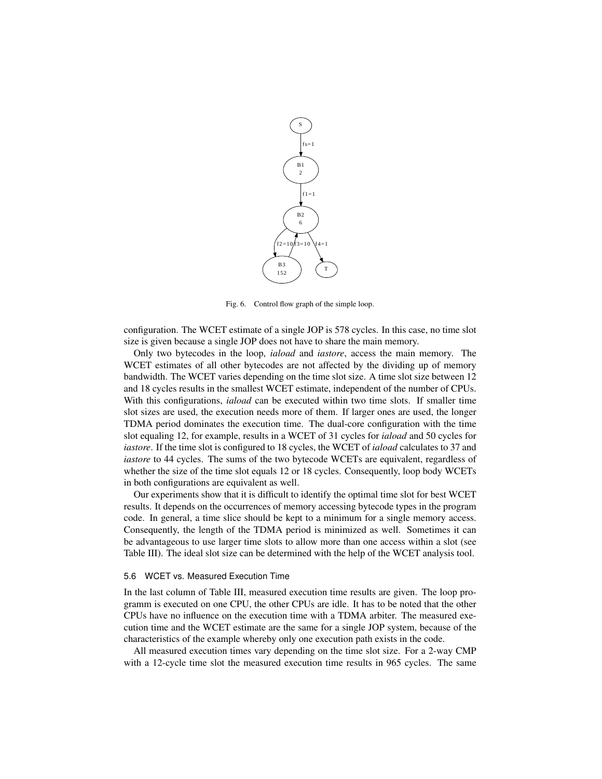

Fig. 6. Control flow graph of the simple loop.

configuration. The WCET estimate of a single JOP is 578 cycles. In this case, no time slot size is given because a single JOP does not have to share the main memory.

Only two bytecodes in the loop, *iaload* and *iastore*, access the main memory. The WCET estimates of all other bytecodes are not affected by the dividing up of memory bandwidth. The WCET varies depending on the time slot size. A time slot size between 12 and 18 cycles results in the smallest WCET estimate, independent of the number of CPUs. With this configurations, *iaload* can be executed within two time slots. If smaller time slot sizes are used, the execution needs more of them. If larger ones are used, the longer TDMA period dominates the execution time. The dual-core configuration with the time slot equaling 12, for example, results in a WCET of 31 cycles for *iaload* and 50 cycles for *iastore*. If the time slot is configured to 18 cycles, the WCET of *iaload* calculates to 37 and *iastore* to 44 cycles. The sums of the two bytecode WCETs are equivalent, regardless of whether the size of the time slot equals 12 or 18 cycles. Consequently, loop body WCETs in both configurations are equivalent as well.

Our experiments show that it is difficult to identify the optimal time slot for best WCET results. It depends on the occurrences of memory accessing bytecode types in the program code. In general, a time slice should be kept to a minimum for a single memory access. Consequently, the length of the TDMA period is minimized as well. Sometimes it can be advantageous to use larger time slots to allow more than one access within a slot (see Table III). The ideal slot size can be determined with the help of the WCET analysis tool.

#### 5.6 WCET vs. Measured Execution Time

In the last column of Table III, measured execution time results are given. The loop programm is executed on one CPU, the other CPUs are idle. It has to be noted that the other CPUs have no influence on the execution time with a TDMA arbiter. The measured execution time and the WCET estimate are the same for a single JOP system, because of the characteristics of the example whereby only one execution path exists in the code.

All measured execution times vary depending on the time slot size. For a 2-way CMP with a 12-cycle time slot the measured execution time results in 965 cycles. The same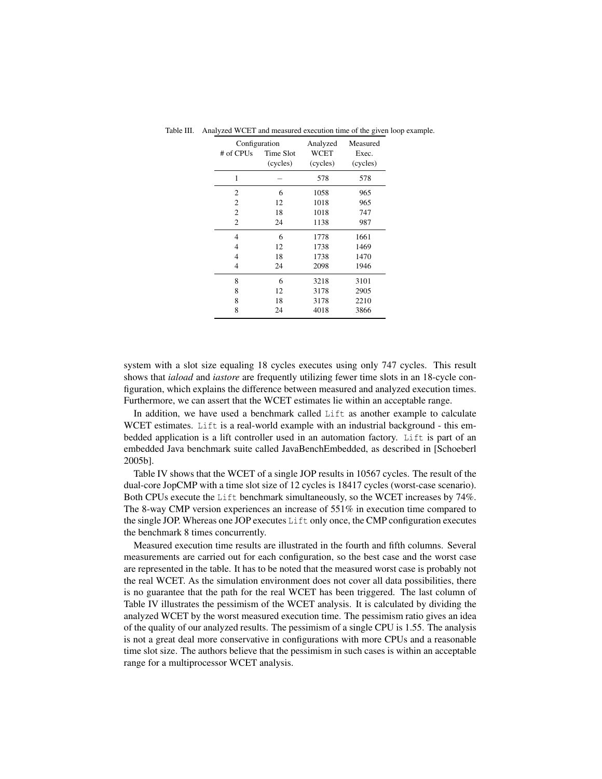| Configuration  |           | Analyzed    | Measured |
|----------------|-----------|-------------|----------|
| # of CPUs      | Time Slot | <b>WCET</b> | Exec.    |
|                | (cycles)  | (cycles)    | (cycles) |
| 1              |           | 578         | 578      |
| $\overline{c}$ | 6         | 1058        | 965      |
| 2              | 12        | 1018        | 965      |
| $\overline{2}$ | 18        | 1018        | 747      |
| $\overline{2}$ | 24        | 1138        | 987      |
| 4              | 6         | 1778        | 1661     |
| $\overline{4}$ | 12        | 1738        | 1469     |
| $\overline{4}$ | 18        | 1738        | 1470     |
| 4              | 24        | 2098        | 1946     |
| 8              | 6         | 3218        | 3101     |
| 8              | 12        | 3178        | 2905     |
| 8              | 18        | 3178        | 2210     |
| 8              | 24        | 4018        | 3866     |

Table III. Analyzed WCET and measured execution time of the given loop example.

system with a slot size equaling 18 cycles executes using only 747 cycles. This result shows that *iaload* and *iastore* are frequently utilizing fewer time slots in an 18-cycle configuration, which explains the difference between measured and analyzed execution times. Furthermore, we can assert that the WCET estimates lie within an acceptable range.

In addition, we have used a benchmark called Lift as another example to calculate WCET estimates. Lift is a real-world example with an industrial background - this embedded application is a lift controller used in an automation factory. Lift is part of an embedded Java benchmark suite called JavaBenchEmbedded, as described in [Schoeberl 2005b].

Table IV shows that the WCET of a single JOP results in 10567 cycles. The result of the dual-core JopCMP with a time slot size of 12 cycles is 18417 cycles (worst-case scenario). Both CPUs execute the Lift benchmark simultaneously, so the WCET increases by 74%. The 8-way CMP version experiences an increase of 551% in execution time compared to the single JOP. Whereas one JOP executes Lift only once, the CMP configuration executes the benchmark 8 times concurrently.

Measured execution time results are illustrated in the fourth and fifth columns. Several measurements are carried out for each configuration, so the best case and the worst case are represented in the table. It has to be noted that the measured worst case is probably not the real WCET. As the simulation environment does not cover all data possibilities, there is no guarantee that the path for the real WCET has been triggered. The last column of Table IV illustrates the pessimism of the WCET analysis. It is calculated by dividing the analyzed WCET by the worst measured execution time. The pessimism ratio gives an idea of the quality of our analyzed results. The pessimism of a single CPU is 1.55. The analysis is not a great deal more conservative in configurations with more CPUs and a reasonable time slot size. The authors believe that the pessimism in such cases is within an acceptable range for a multiprocessor WCET analysis.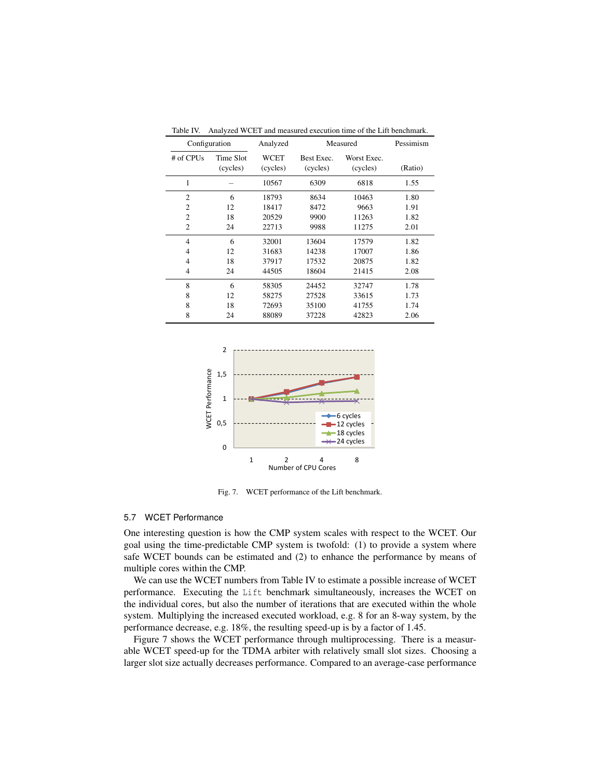| Configuration  |                       | Analyzed                | Measured               |                         | Pessimism |
|----------------|-----------------------|-------------------------|------------------------|-------------------------|-----------|
| # of CPUs      | Time Slot<br>(cycles) | <b>WCET</b><br>(cycles) | Best Exec.<br>(cycles) | Worst Exec.<br>(cycles) | (Ratio)   |
| 1              |                       | 10567                   | 6309                   | 6818                    | 1.55      |
| $\overline{c}$ | 6                     | 18793                   | 8634                   | 10463                   | 1.80      |
| $\overline{c}$ | 12                    | 18417                   | 8472                   | 9663                    | 1.91      |
| $\overline{2}$ | 18                    | 20529                   | 9900                   | 11263                   | 1.82      |
| $\overline{2}$ | 24                    | 22713                   | 9988                   | 11275                   | 2.01      |
| $\overline{4}$ | 6                     | 32001                   | 13604                  | 17579                   | 1.82      |
| $\overline{4}$ | 12                    | 31683                   | 14238                  | 17007                   | 1.86      |
| $\overline{4}$ | 18                    | 37917                   | 17532                  | 20875                   | 1.82      |
| 4              | 24                    | 44505                   | 18604                  | 21415                   | 2.08      |
| 8              | 6                     | 58305                   | 24452                  | 32747                   | 1.78      |
| 8              | 12                    | 58275                   | 27528                  | 33615                   | 1.73      |
| 8              | 18                    | 72693                   | 35100                  | 41755                   | 1.74      |
| 8              | 24                    | 88089                   | 37228                  | 42823                   | 2.06      |

Table IV. Analyzed WCET and measured execution time of the Lift benchmark.



Fig. 7. WCET performance of the Lift benchmark.

#### 5.7 WCET Performance

One interesting question is how the CMP system scales with respect to the WCET. Our goal using the time-predictable CMP system is twofold: (1) to provide a system where safe WCET bounds can be estimated and (2) to enhance the performance by means of multiple cores within the CMP.

We can use the WCET numbers from Table IV to estimate a possible increase of WCET performance. Executing the Lift benchmark simultaneously, increases the WCET on the individual cores, but also the number of iterations that are executed within the whole system. Multiplying the increased executed workload, e.g. 8 for an 8-way system, by the performance decrease, e.g. 18%, the resulting speed-up is by a factor of 1.45.

Figure 7 shows the WCET performance through multiprocessing. There is a measurable WCET speed-up for the TDMA arbiter with relatively small slot sizes. Choosing a larger slot size actually decreases performance. Compared to an average-case performance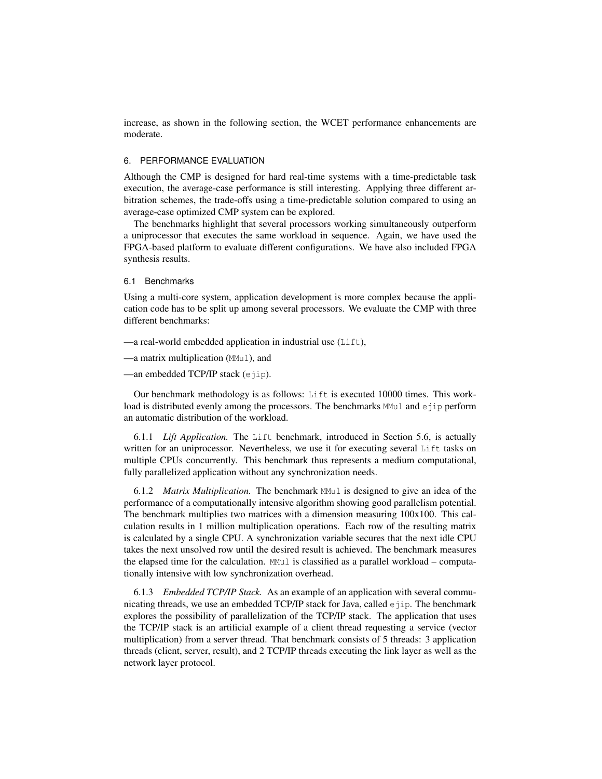increase, as shown in the following section, the WCET performance enhancements are moderate.

## 6. PERFORMANCE EVALUATION

Although the CMP is designed for hard real-time systems with a time-predictable task execution, the average-case performance is still interesting. Applying three different arbitration schemes, the trade-offs using a time-predictable solution compared to using an average-case optimized CMP system can be explored.

The benchmarks highlight that several processors working simultaneously outperform a uniprocessor that executes the same workload in sequence. Again, we have used the FPGA-based platform to evaluate different configurations. We have also included FPGA synthesis results.

# 6.1 Benchmarks

Using a multi-core system, application development is more complex because the application code has to be split up among several processors. We evaluate the CMP with three different benchmarks:

—a real-world embedded application in industrial use (Lift),

—a matrix multiplication (MMul), and

—an embedded TCP/IP stack (ejip).

Our benchmark methodology is as follows: Lift is executed 10000 times. This workload is distributed evenly among the processors. The benchmarks MMul and ejip perform an automatic distribution of the workload.

6.1.1 *Lift Application.* The Lift benchmark, introduced in Section 5.6, is actually written for an uniprocessor. Nevertheless, we use it for executing several Lift tasks on multiple CPUs concurrently. This benchmark thus represents a medium computational, fully parallelized application without any synchronization needs.

6.1.2 *Matrix Multiplication*. The benchmark MMul is designed to give an idea of the performance of a computationally intensive algorithm showing good parallelism potential. The benchmark multiplies two matrices with a dimension measuring 100x100. This calculation results in 1 million multiplication operations. Each row of the resulting matrix is calculated by a single CPU. A synchronization variable secures that the next idle CPU takes the next unsolved row until the desired result is achieved. The benchmark measures the elapsed time for the calculation. MMul is classified as a parallel workload – computationally intensive with low synchronization overhead.

6.1.3 *Embedded TCP/IP Stack.* As an example of an application with several communicating threads, we use an embedded TCP/IP stack for Java, called ejip. The benchmark explores the possibility of parallelization of the TCP/IP stack. The application that uses the TCP/IP stack is an artificial example of a client thread requesting a service (vector multiplication) from a server thread. That benchmark consists of 5 threads: 3 application threads (client, server, result), and 2 TCP/IP threads executing the link layer as well as the network layer protocol.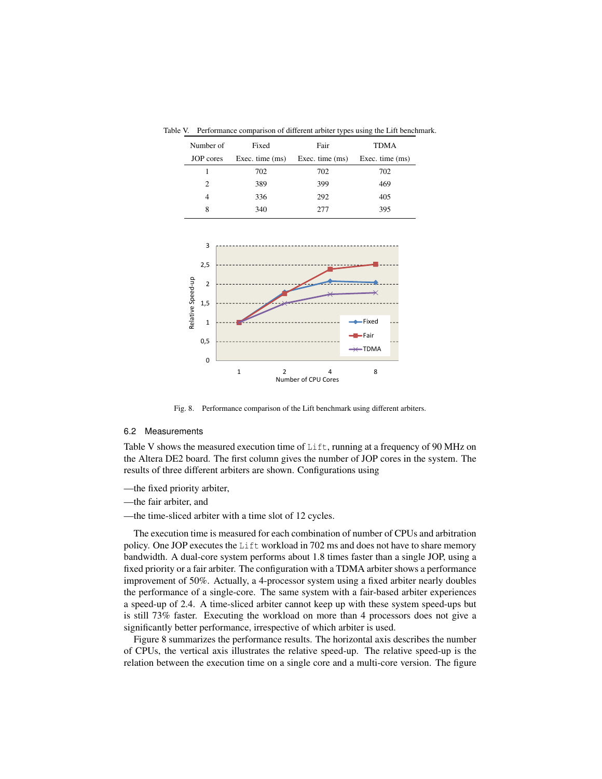Table V. Performance comparison of different arbiter types using the Lift benchmark.

| Number of | Fixed             | Fair              | <b>TDMA</b>       |
|-----------|-------------------|-------------------|-------------------|
| JOP cores | Exec. time $(ms)$ | Exec. time $(ms)$ | Exec. time $(ms)$ |
|           | 702               | 702               | 702               |
| 2         | 389               | 399               | 469               |
|           | 336               | 292               | 405               |
| 8         | 340               | 27 I              | 395               |



Fig. 8. Performance comparison of the Lift benchmark using different arbiters.

## 6.2 Measurements

Table V shows the measured execution time of Lift, running at a frequency of 90 MHz on the Altera DE2 board. The first column gives the number of JOP cores in the system. The results of three different arbiters are shown. Configurations using

- —the fixed priority arbiter,
- —the fair arbiter, and
- —the time-sliced arbiter with a time slot of 12 cycles.

The execution time is measured for each combination of number of CPUs and arbitration policy. One JOP executes the Lift workload in 702 ms and does not have to share memory bandwidth. A dual-core system performs about 1.8 times faster than a single JOP, using a fixed priority or a fair arbiter. The configuration with a TDMA arbiter shows a performance improvement of 50%. Actually, a 4-processor system using a fixed arbiter nearly doubles the performance of a single-core. The same system with a fair-based arbiter experiences a speed-up of 2.4. A time-sliced arbiter cannot keep up with these system speed-ups but is still 73% faster. Executing the workload on more than 4 processors does not give a significantly better performance, irrespective of which arbiter is used.

Figure 8 summarizes the performance results. The horizontal axis describes the number of CPUs, the vertical axis illustrates the relative speed-up. The relative speed-up is the relation between the execution time on a single core and a multi-core version. The figure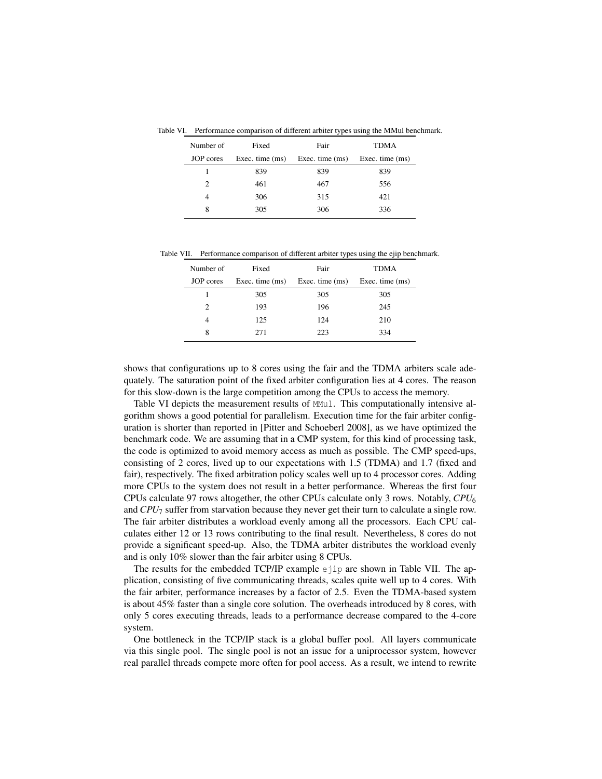Table VI. Performance comparison of different arbiter types using the MMul benchmark.

| Number of | Fixed           | Fair              | <b>TDMA</b>       |
|-----------|-----------------|-------------------|-------------------|
| JOP cores | Exec. time (ms) | Exec. time $(ms)$ | Exec. time $(ms)$ |
|           | 839             | 839               | 839               |
| 2         | 461             | 467               | 556               |
| 4         | 306             | 315               | 421               |
| 8         | 305             | 306               | 336               |

Table VII. Performance comparison of different arbiter types using the ejip benchmark.

| Number of      | Fixed             | Fair              | <b>TDMA</b>       |
|----------------|-------------------|-------------------|-------------------|
| JOP cores      | Exec. time $(ms)$ | Exec. time $(ms)$ | Exec. time $(ms)$ |
|                | 305               | 305               | 305               |
| $\mathfrak{D}$ | 193               | 196               | 245               |
|                | 125               | 124               | 210               |
| 8              | 271               | 223               | 334               |

shows that configurations up to 8 cores using the fair and the TDMA arbiters scale adequately. The saturation point of the fixed arbiter configuration lies at 4 cores. The reason for this slow-down is the large competition among the CPUs to access the memory.

Table VI depicts the measurement results of MMul. This computationally intensive algorithm shows a good potential for parallelism. Execution time for the fair arbiter configuration is shorter than reported in [Pitter and Schoeberl 2008], as we have optimized the benchmark code. We are assuming that in a CMP system, for this kind of processing task, the code is optimized to avoid memory access as much as possible. The CMP speed-ups, consisting of 2 cores, lived up to our expectations with 1.5 (TDMA) and 1.7 (fixed and fair), respectively. The fixed arbitration policy scales well up to 4 processor cores. Adding more CPUs to the system does not result in a better performance. Whereas the first four CPUs calculate 97 rows altogether, the other CPUs calculate only 3 rows. Notably, *CPU*<sup>6</sup> and *CPU*<sup>7</sup> suffer from starvation because they never get their turn to calculate a single row. The fair arbiter distributes a workload evenly among all the processors. Each CPU calculates either 12 or 13 rows contributing to the final result. Nevertheless, 8 cores do not provide a significant speed-up. Also, the TDMA arbiter distributes the workload evenly and is only 10% slower than the fair arbiter using 8 CPUs.

The results for the embedded TCP/IP example ejip are shown in Table VII. The application, consisting of five communicating threads, scales quite well up to 4 cores. With the fair arbiter, performance increases by a factor of 2.5. Even the TDMA-based system is about 45% faster than a single core solution. The overheads introduced by 8 cores, with only 5 cores executing threads, leads to a performance decrease compared to the 4-core system.

One bottleneck in the TCP/IP stack is a global buffer pool. All layers communicate via this single pool. The single pool is not an issue for a uniprocessor system, however real parallel threads compete more often for pool access. As a result, we intend to rewrite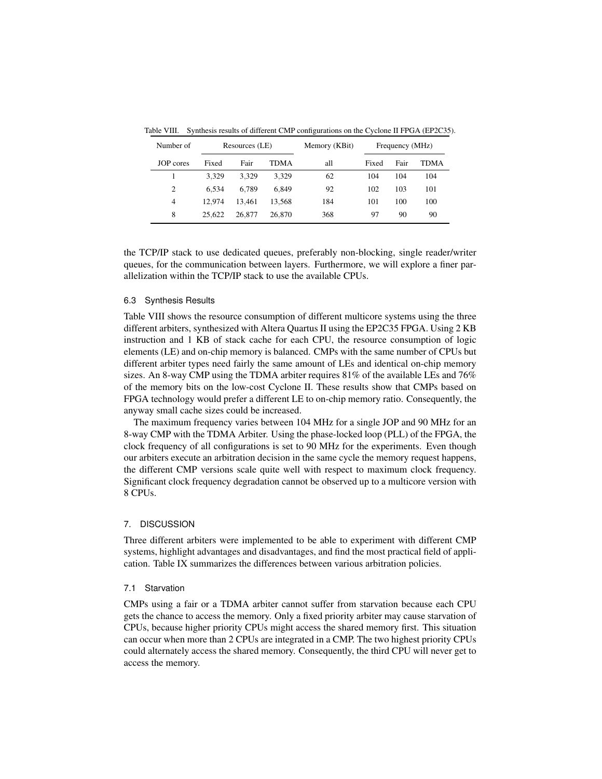| Number of      | Resources (LE) |        | Memory (KBit) |     | Frequency (MHz) |      |      |
|----------------|----------------|--------|---------------|-----|-----------------|------|------|
| JOP cores      | Fixed          | Fair   | TDMA          | all | Fixed           | Fair | TDMA |
|                | 3.329          | 3.329  | 3.329         | 62  | 104             | 104  | 104  |
| $\overline{2}$ | 6.534          | 6.789  | 6.849         | 92  | 102             | 103  | 101  |
| 4              | 12.974         | 13.461 | 13.568        | 184 | 101             | 100  | 100  |
| 8              | 25.622         | 26,877 | 26,870        | 368 | 97              | 90   | 90   |

Table VIII. Synthesis results of different CMP configurations on the Cyclone II FPGA (EP2C35).

the TCP/IP stack to use dedicated queues, preferably non-blocking, single reader/writer queues, for the communication between layers. Furthermore, we will explore a finer parallelization within the TCP/IP stack to use the available CPUs.

# 6.3 Synthesis Results

Table VIII shows the resource consumption of different multicore systems using the three different arbiters, synthesized with Altera Quartus II using the EP2C35 FPGA. Using 2 KB instruction and 1 KB of stack cache for each CPU, the resource consumption of logic elements (LE) and on-chip memory is balanced. CMPs with the same number of CPUs but different arbiter types need fairly the same amount of LEs and identical on-chip memory sizes. An 8-way CMP using the TDMA arbiter requires 81% of the available LEs and 76% of the memory bits on the low-cost Cyclone II. These results show that CMPs based on FPGA technology would prefer a different LE to on-chip memory ratio. Consequently, the anyway small cache sizes could be increased.

The maximum frequency varies between 104 MHz for a single JOP and 90 MHz for an 8-way CMP with the TDMA Arbiter. Using the phase-locked loop (PLL) of the FPGA, the clock frequency of all configurations is set to 90 MHz for the experiments. Even though our arbiters execute an arbitration decision in the same cycle the memory request happens, the different CMP versions scale quite well with respect to maximum clock frequency. Significant clock frequency degradation cannot be observed up to a multicore version with 8 CPUs.

## 7. DISCUSSION

Three different arbiters were implemented to be able to experiment with different CMP systems, highlight advantages and disadvantages, and find the most practical field of application. Table IX summarizes the differences between various arbitration policies.

## 7.1 Starvation

CMPs using a fair or a TDMA arbiter cannot suffer from starvation because each CPU gets the chance to access the memory. Only a fixed priority arbiter may cause starvation of CPUs, because higher priority CPUs might access the shared memory first. This situation can occur when more than 2 CPUs are integrated in a CMP. The two highest priority CPUs could alternately access the shared memory. Consequently, the third CPU will never get to access the memory.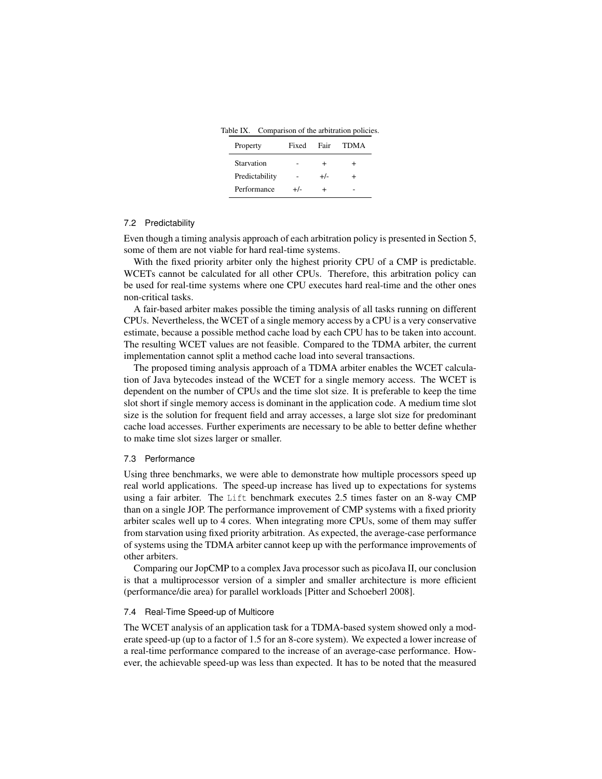Table IX. Comparison of the arbitration policies.

| Property       | Fixed | Fair   | <b>TDMA</b> |
|----------------|-------|--------|-------------|
| Starvation     |       | $\div$ | $\div$      |
| Predictability |       | $+/-$  | $\div$      |
| Performance    | $+/-$ | ┷      |             |

## 7.2 Predictability

Even though a timing analysis approach of each arbitration policy is presented in Section 5, some of them are not viable for hard real-time systems.

With the fixed priority arbiter only the highest priority CPU of a CMP is predictable. WCETs cannot be calculated for all other CPUs. Therefore, this arbitration policy can be used for real-time systems where one CPU executes hard real-time and the other ones non-critical tasks.

A fair-based arbiter makes possible the timing analysis of all tasks running on different CPUs. Nevertheless, the WCET of a single memory access by a CPU is a very conservative estimate, because a possible method cache load by each CPU has to be taken into account. The resulting WCET values are not feasible. Compared to the TDMA arbiter, the current implementation cannot split a method cache load into several transactions.

The proposed timing analysis approach of a TDMA arbiter enables the WCET calculation of Java bytecodes instead of the WCET for a single memory access. The WCET is dependent on the number of CPUs and the time slot size. It is preferable to keep the time slot short if single memory access is dominant in the application code. A medium time slot size is the solution for frequent field and array accesses, a large slot size for predominant cache load accesses. Further experiments are necessary to be able to better define whether to make time slot sizes larger or smaller.

#### 7.3 Performance

Using three benchmarks, we were able to demonstrate how multiple processors speed up real world applications. The speed-up increase has lived up to expectations for systems using a fair arbiter. The Lift benchmark executes 2.5 times faster on an 8-way CMP than on a single JOP. The performance improvement of CMP systems with a fixed priority arbiter scales well up to 4 cores. When integrating more CPUs, some of them may suffer from starvation using fixed priority arbitration. As expected, the average-case performance of systems using the TDMA arbiter cannot keep up with the performance improvements of other arbiters.

Comparing our JopCMP to a complex Java processor such as picoJava II, our conclusion is that a multiprocessor version of a simpler and smaller architecture is more efficient (performance/die area) for parallel workloads [Pitter and Schoeberl 2008].

#### 7.4 Real-Time Speed-up of Multicore

The WCET analysis of an application task for a TDMA-based system showed only a moderate speed-up (up to a factor of 1.5 for an 8-core system). We expected a lower increase of a real-time performance compared to the increase of an average-case performance. However, the achievable speed-up was less than expected. It has to be noted that the measured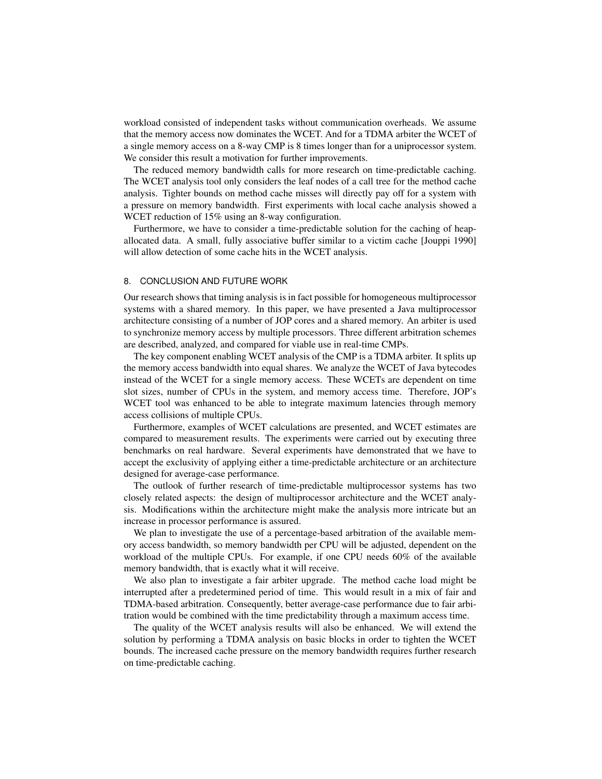workload consisted of independent tasks without communication overheads. We assume that the memory access now dominates the WCET. And for a TDMA arbiter the WCET of a single memory access on a 8-way CMP is 8 times longer than for a uniprocessor system. We consider this result a motivation for further improvements.

The reduced memory bandwidth calls for more research on time-predictable caching. The WCET analysis tool only considers the leaf nodes of a call tree for the method cache analysis. Tighter bounds on method cache misses will directly pay off for a system with a pressure on memory bandwidth. First experiments with local cache analysis showed a WCET reduction of 15% using an 8-way configuration.

Furthermore, we have to consider a time-predictable solution for the caching of heapallocated data. A small, fully associative buffer similar to a victim cache [Jouppi 1990] will allow detection of some cache hits in the WCET analysis.

## 8. CONCLUSION AND FUTURE WORK

Our research shows that timing analysis is in fact possible for homogeneous multiprocessor systems with a shared memory. In this paper, we have presented a Java multiprocessor architecture consisting of a number of JOP cores and a shared memory. An arbiter is used to synchronize memory access by multiple processors. Three different arbitration schemes are described, analyzed, and compared for viable use in real-time CMPs.

The key component enabling WCET analysis of the CMP is a TDMA arbiter. It splits up the memory access bandwidth into equal shares. We analyze the WCET of Java bytecodes instead of the WCET for a single memory access. These WCETs are dependent on time slot sizes, number of CPUs in the system, and memory access time. Therefore, JOP's WCET tool was enhanced to be able to integrate maximum latencies through memory access collisions of multiple CPUs.

Furthermore, examples of WCET calculations are presented, and WCET estimates are compared to measurement results. The experiments were carried out by executing three benchmarks on real hardware. Several experiments have demonstrated that we have to accept the exclusivity of applying either a time-predictable architecture or an architecture designed for average-case performance.

The outlook of further research of time-predictable multiprocessor systems has two closely related aspects: the design of multiprocessor architecture and the WCET analysis. Modifications within the architecture might make the analysis more intricate but an increase in processor performance is assured.

We plan to investigate the use of a percentage-based arbitration of the available memory access bandwidth, so memory bandwidth per CPU will be adjusted, dependent on the workload of the multiple CPUs. For example, if one CPU needs 60% of the available memory bandwidth, that is exactly what it will receive.

We also plan to investigate a fair arbiter upgrade. The method cache load might be interrupted after a predetermined period of time. This would result in a mix of fair and TDMA-based arbitration. Consequently, better average-case performance due to fair arbitration would be combined with the time predictability through a maximum access time.

The quality of the WCET analysis results will also be enhanced. We will extend the solution by performing a TDMA analysis on basic blocks in order to tighten the WCET bounds. The increased cache pressure on the memory bandwidth requires further research on time-predictable caching.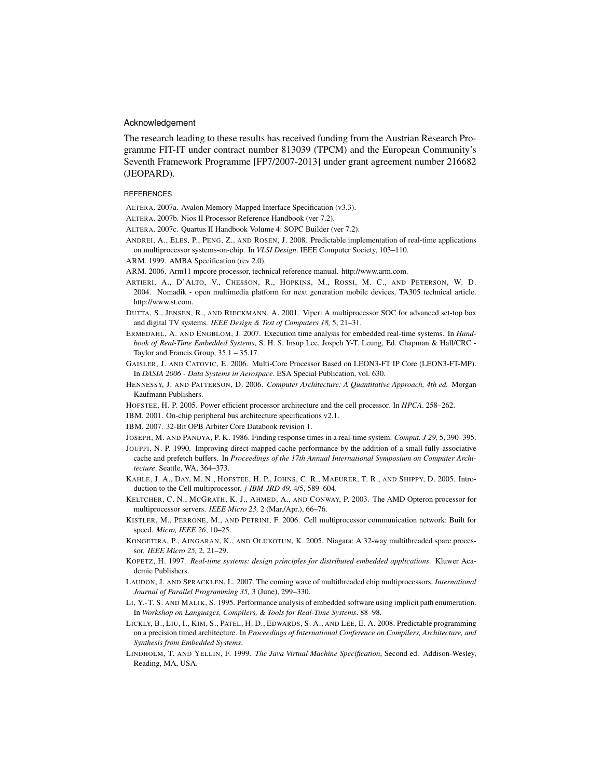#### Acknowledgement

The research leading to these results has received funding from the Austrian Research Programme FIT-IT under contract number 813039 (TPCM) and the European Community's Seventh Framework Programme [FP7/2007-2013] under grant agreement number 216682 (JEOPARD).

#### **REFERENCES**

- ALTERA. 2007a. Avalon Memory-Mapped Interface Specification (v3.3).
- ALTERA. 2007b. Nios II Processor Reference Handbook (ver 7.2).
- ALTERA. 2007c. Quartus II Handbook Volume 4: SOPC Builder (ver 7.2).
- ANDREI, A., ELES, P., PENG, Z., AND ROSEN, J. 2008. Predictable implementation of real-time applications on multiprocessor systems-on-chip. In *VLSI Design*. IEEE Computer Society, 103–110.
- ARM. 1999. AMBA Specification (rev 2.0).
- ARM. 2006. Arm11 mpcore processor, technical reference manual. http://www.arm.com.
- ARTIERI, A., D'ALTO, V., CHESSON, R., HOPKINS, M., ROSSI, M. C., AND PETERSON, W. D. 2004. Nomadik - open multimedia platform for next generation mobile devices, TA305 technical article. http://www.st.com.
- DUTTA, S., JENSEN, R., AND RIECKMANN, A. 2001. Viper: A multiprocessor SOC for advanced set-top box and digital TV systems. *IEEE Design & Test of Computers 18,* 5, 21–31.
- ERMEDAHL, A. AND ENGBLOM, J. 2007. Execution time analysis for embedded real-time systems. In *Handbook of Real-Time Embedded Systems*, S. H. S. Insup Lee, Jospeh Y-T. Leung, Ed. Chapman & Hall/CRC - Taylor and Francis Group, 35.1 – 35.17.
- GAISLER, J. AND CATOVIC, E. 2006. Multi-Core Processor Based on LEON3-FT IP Core (LEON3-FT-MP). In *DASIA 2006 - Data Systems in Aerospace*. ESA Special Publication, vol. 630.
- HENNESSY, J. AND PATTERSON, D. 2006. *Computer Architecture: A Quantitative Approach, 4th ed.* Morgan Kaufmann Publishers.
- HOFSTEE, H. P. 2005. Power efficient processor architecture and the cell processor. In *HPCA*. 258–262.
- IBM. 2001. On-chip peripheral bus architecture specifications v2.1.
- IBM. 2007. 32-Bit OPB Arbiter Core Databook revision 1.
- JOSEPH, M. AND PANDYA, P. K. 1986. Finding response times in a real-time system. *Comput. J 29,* 5, 390–395.
- JOUPPI, N. P. 1990. Improving direct-mapped cache performance by the addition of a small fully-associative cache and prefetch buffers. In *Proceedings of the 17th Annual International Symposium on Computer Architecture*. Seattle, WA, 364–373.
- KAHLE, J. A., DAY, M. N., HOFSTEE, H. P., JOHNS, C. R., MAEURER, T. R., AND SHIPPY, D. 2005. Introduction to the Cell multiprocessor. *j-IBM-JRD 49,* 4/5, 589–604.
- KELTCHER, C. N., MCGRATH, K. J., AHMED, A., AND CONWAY, P. 2003. The AMD Opteron processor for multiprocessor servers. *IEEE Micro 23,* 2 (Mar./Apr.), 66–76.
- KISTLER, M., PERRONE, M., AND PETRINI, F. 2006. Cell multiprocessor communication network: Built for speed. *Micro, IEEE 26*, 10–25.
- KONGETIRA, P., AINGARAN, K., AND OLUKOTUN, K. 2005. Niagara: A 32-way multithreaded sparc processor. *IEEE Micro 25,* 2, 21–29.
- KOPETZ, H. 1997. *Real-time systems: design principles for distributed embedded applications*. Kluwer Academic Publishers.
- LAUDON, J. AND SPRACKLEN, L. 2007. The coming wave of multithreaded chip multiprocessors. *International Journal of Parallel Programming 35,* 3 (June), 299–330.
- LI, Y.-T. S. AND MALIK, S. 1995. Performance analysis of embedded software using implicit path enumeration. In *Workshop on Languages, Compilers, & Tools for Real-Time Systems*. 88–98.
- LICKLY, B., LIU, I., KIM, S., PATEL, H. D., EDWARDS, S. A., AND LEE, E. A. 2008. Predictable programming on a precision timed architecture. In *Proceedings of International Conference on Compilers, Architecture, and Synthesis from Embedded Systems*.
- LINDHOLM, T. AND YELLIN, F. 1999. *The Java Virtual Machine Specification*, Second ed. Addison-Wesley, Reading, MA, USA.